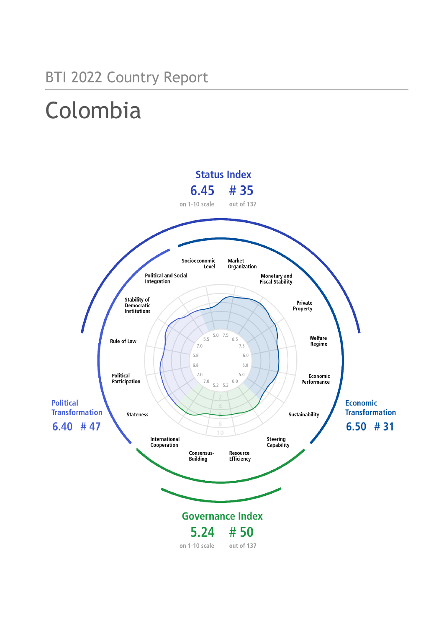## BTI 2022 Country Report

# Colombia

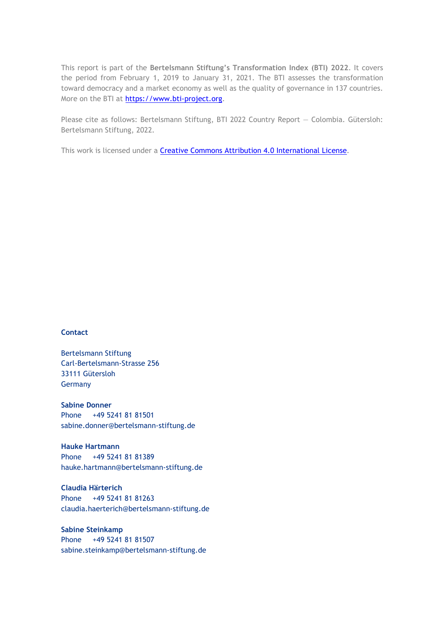This report is part of the **Bertelsmann Stiftung's Transformation Index (BTI) 2022**. It covers the period from February 1, 2019 to January 31, 2021. The BTI assesses the transformation toward democracy and a market economy as well as the quality of governance in 137 countries. More on the BTI at [https://www.bti-project.org.](https://www.bti-project.org/)

Please cite as follows: Bertelsmann Stiftung, BTI 2022 Country Report — Colombia. Gütersloh: Bertelsmann Stiftung, 2022.

This work is licensed under a **Creative Commons Attribution 4.0 International License**.

#### **Contact**

Bertelsmann Stiftung Carl-Bertelsmann-Strasse 256 33111 Gütersloh Germany

**Sabine Donner** Phone +49 5241 81 81501 sabine.donner@bertelsmann-stiftung.de

**Hauke Hartmann** Phone +49 5241 81 81389 hauke.hartmann@bertelsmann-stiftung.de

**Claudia Härterich** Phone +49 5241 81 81263 claudia.haerterich@bertelsmann-stiftung.de

#### **Sabine Steinkamp** Phone +49 5241 81 81507 sabine.steinkamp@bertelsmann-stiftung.de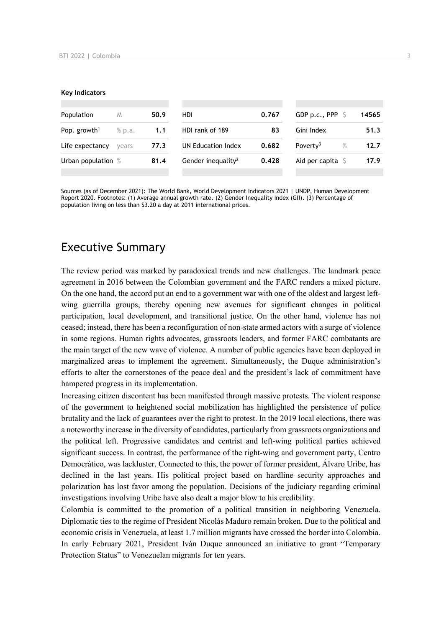#### **Key Indicators**

| Population               | M      | 50.9 | <b>HDI</b>                     | 0.767 | GDP p.c., PPP                | 14565 |
|--------------------------|--------|------|--------------------------------|-------|------------------------------|-------|
| Pop. growth <sup>1</sup> | % p.a. | 1.1  | HDI rank of 189<br>83          |       | Gini Index                   | 51.3  |
| Life expectancy          | vears  | 77.3 | UN Education Index             | 0.682 | $\%$<br>Poverty <sup>3</sup> | 12.7  |
| Urban population %       |        | 81.4 | Gender inequality <sup>2</sup> | 0.428 | Aid per capita               | 17.9  |
|                          |        |      |                                |       |                              |       |

Sources (as of December 2021): The World Bank, World Development Indicators 2021 | UNDP, Human Development Report 2020. Footnotes: (1) Average annual growth rate. (2) Gender Inequality Index (GII). (3) Percentage of population living on less than \$3.20 a day at 2011 international prices.

## Executive Summary

The review period was marked by paradoxical trends and new challenges. The landmark peace agreement in 2016 between the Colombian government and the FARC renders a mixed picture. On the one hand, the accord put an end to a government war with one of the oldest and largest leftwing guerrilla groups, thereby opening new avenues for significant changes in political participation, local development, and transitional justice. On the other hand, violence has not ceased; instead, there has been a reconfiguration of non-state armed actors with a surge of violence in some regions. Human rights advocates, grassroots leaders, and former FARC combatants are the main target of the new wave of violence. A number of public agencies have been deployed in marginalized areas to implement the agreement. Simultaneously, the Duque administration's efforts to alter the cornerstones of the peace deal and the president's lack of commitment have hampered progress in its implementation.

Increasing citizen discontent has been manifested through massive protests. The violent response of the government to heightened social mobilization has highlighted the persistence of police brutality and the lack of guarantees over the right to protest. In the 2019 local elections, there was a noteworthy increase in the diversity of candidates, particularly from grassroots organizations and the political left. Progressive candidates and centrist and left-wing political parties achieved significant success. In contrast, the performance of the right-wing and government party, Centro Democrático, was lackluster. Connected to this, the power of former president, Álvaro Uribe, has declined in the last years. His political project based on hardline security approaches and polarization has lost favor among the population. Decisions of the judiciary regarding criminal investigations involving Uribe have also dealt a major blow to his credibility.

Colombia is committed to the promotion of a political transition in neighboring Venezuela. Diplomatic ties to the regime of President Nicolás Maduro remain broken. Due to the political and economic crisis in Venezuela, at least 1.7 million migrants have crossed the border into Colombia. In early February 2021, President Iván Duque announced an initiative to grant "Temporary Protection Status" to Venezuelan migrants for ten years.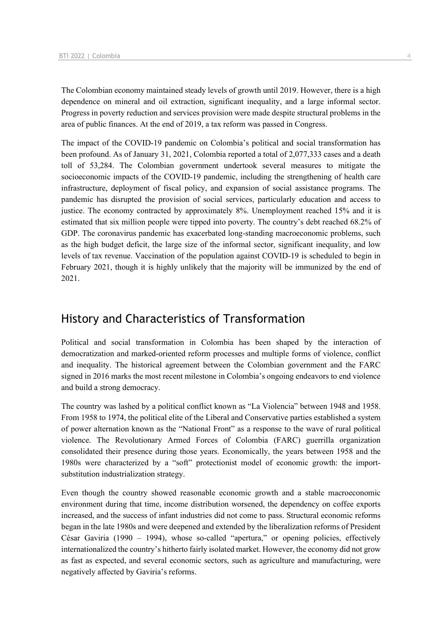The Colombian economy maintained steady levels of growth until 2019. However, there is a high dependence on mineral and oil extraction, significant inequality, and a large informal sector. Progress in poverty reduction and services provision were made despite structural problems in the area of public finances. At the end of 2019, a tax reform was passed in Congress.

The impact of the COVID-19 pandemic on Colombia's political and social transformation has been profound. As of January 31, 2021, Colombia reported a total of 2,077,333 cases and a death toll of 53,284. The Colombian government undertook several measures to mitigate the socioeconomic impacts of the COVID-19 pandemic, including the strengthening of health care infrastructure, deployment of fiscal policy, and expansion of social assistance programs. The pandemic has disrupted the provision of social services, particularly education and access to justice. The economy contracted by approximately 8%. Unemployment reached 15% and it is estimated that six million people were tipped into poverty. The country's debt reached 68.2% of GDP. The coronavirus pandemic has exacerbated long-standing macroeconomic problems, such as the high budget deficit, the large size of the informal sector, significant inequality, and low levels of tax revenue. Vaccination of the population against COVID-19 is scheduled to begin in February 2021, though it is highly unlikely that the majority will be immunized by the end of 2021.

## History and Characteristics of Transformation

Political and social transformation in Colombia has been shaped by the interaction of democratization and marked-oriented reform processes and multiple forms of violence, conflict and inequality. The historical agreement between the Colombian government and the FARC signed in 2016 marks the most recent milestone in Colombia's ongoing endeavors to end violence and build a strong democracy.

The country was lashed by a political conflict known as "La Violencia" between 1948 and 1958. From 1958 to 1974, the political elite of the Liberal and Conservative parties established a system of power alternation known as the "National Front" as a response to the wave of rural political violence. The Revolutionary Armed Forces of Colombia (FARC) guerrilla organization consolidated their presence during those years. Economically, the years between 1958 and the 1980s were characterized by a "soft" protectionist model of economic growth: the importsubstitution industrialization strategy.

Even though the country showed reasonable economic growth and a stable macroeconomic environment during that time, income distribution worsened, the dependency on coffee exports increased, and the success of infant industries did not come to pass. Structural economic reforms began in the late 1980s and were deepened and extended by the liberalization reforms of President César Gaviria (1990 – 1994), whose so-called "apertura," or opening policies, effectively internationalized the country's hitherto fairly isolated market. However, the economy did not grow as fast as expected, and several economic sectors, such as agriculture and manufacturing, were negatively affected by Gaviria's reforms.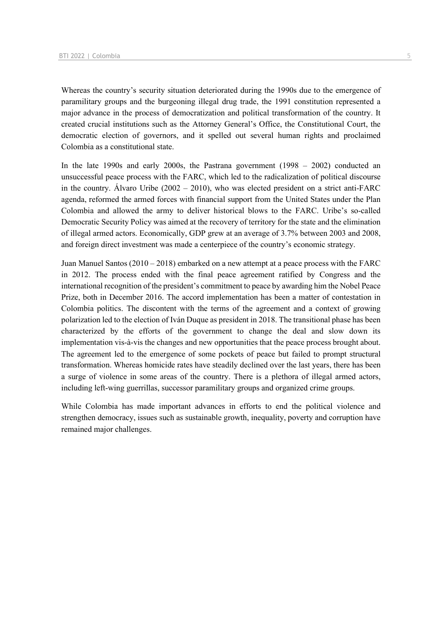Whereas the country's security situation deteriorated during the 1990s due to the emergence of paramilitary groups and the burgeoning illegal drug trade, the 1991 constitution represented a major advance in the process of democratization and political transformation of the country. It created crucial institutions such as the Attorney General's Office, the Constitutional Court, the democratic election of governors, and it spelled out several human rights and proclaimed Colombia as a constitutional state.

In the late 1990s and early 2000s, the Pastrana government (1998 – 2002) conducted an unsuccessful peace process with the FARC, which led to the radicalization of political discourse in the country. Álvaro Uribe  $(2002 - 2010)$ , who was elected president on a strict anti-FARC agenda, reformed the armed forces with financial support from the United States under the Plan Colombia and allowed the army to deliver historical blows to the FARC. Uribe's so-called Democratic Security Policy was aimed at the recovery of territory for the state and the elimination of illegal armed actors. Economically, GDP grew at an average of 3.7% between 2003 and 2008, and foreign direct investment was made a centerpiece of the country's economic strategy.

Juan Manuel Santos  $(2010 - 2018)$  embarked on a new attempt at a peace process with the FARC in 2012. The process ended with the final peace agreement ratified by Congress and the international recognition of the president's commitment to peace by awarding him the Nobel Peace Prize, both in December 2016. The accord implementation has been a matter of contestation in Colombia politics. The discontent with the terms of the agreement and a context of growing polarization led to the election of Iván Duque as president in 2018. The transitional phase has been characterized by the efforts of the government to change the deal and slow down its implementation vis-à-vis the changes and new opportunities that the peace process brought about. The agreement led to the emergence of some pockets of peace but failed to prompt structural transformation. Whereas homicide rates have steadily declined over the last years, there has been a surge of violence in some areas of the country. There is a plethora of illegal armed actors, including left-wing guerrillas, successor paramilitary groups and organized crime groups.

While Colombia has made important advances in efforts to end the political violence and strengthen democracy, issues such as sustainable growth, inequality, poverty and corruption have remained major challenges.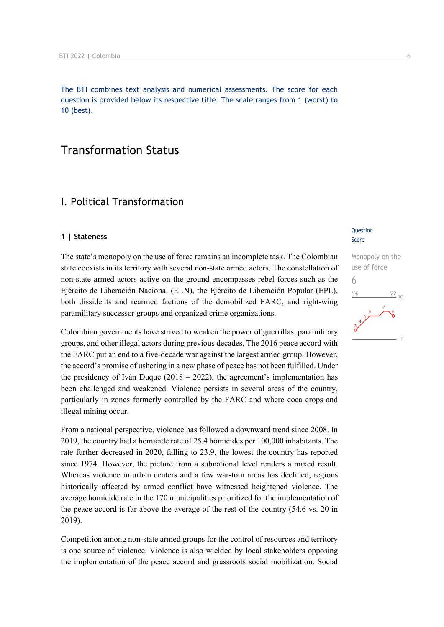The BTI combines text analysis and numerical assessments. The score for each question is provided below its respective title. The scale ranges from 1 (worst) to 10 (best).

## Transformation Status

## I. Political Transformation

#### **1 | Stateness**

The state's monopoly on the use of force remains an incomplete task. The Colombian state coexists in its territory with several non-state armed actors. The constellation of non-state armed actors active on the ground encompasses rebel forces such as the Ejército de Liberación Nacional (ELN), the Ejército de Liberación Popular (EPL), both dissidents and rearmed factions of the demobilized FARC, and right-wing paramilitary successor groups and organized crime organizations.

Colombian governments have strived to weaken the power of guerrillas, paramilitary groups, and other illegal actors during previous decades. The 2016 peace accord with the FARC put an end to a five-decade war against the largest armed group. However, the accord's promise of ushering in a new phase of peace has not been fulfilled. Under the presidency of Iván Duque (2018 – 2022), the agreement's implementation has been challenged and weakened. Violence persists in several areas of the country, particularly in zones formerly controlled by the FARC and where coca crops and illegal mining occur.

From a national perspective, violence has followed a downward trend since 2008. In 2019, the country had a homicide rate of 25.4 homicides per 100,000 inhabitants. The rate further decreased in 2020, falling to 23.9, the lowest the country has reported since 1974. However, the picture from a subnational level renders a mixed result. Whereas violence in urban centers and a few war-torn areas has declined, regions historically affected by armed conflict have witnessed heightened violence. The average homicide rate in the 170 municipalities prioritized for the implementation of the peace accord is far above the average of the rest of the country (54.6 vs. 20 in 2019).

Competition among non-state armed groups for the control of resources and territory is one source of violence. Violence is also wielded by local stakeholders opposing the implementation of the peace accord and grassroots social mobilization. Social

#### **Question** Score

Monopoly on the use of force 6 $\frac{22}{10}$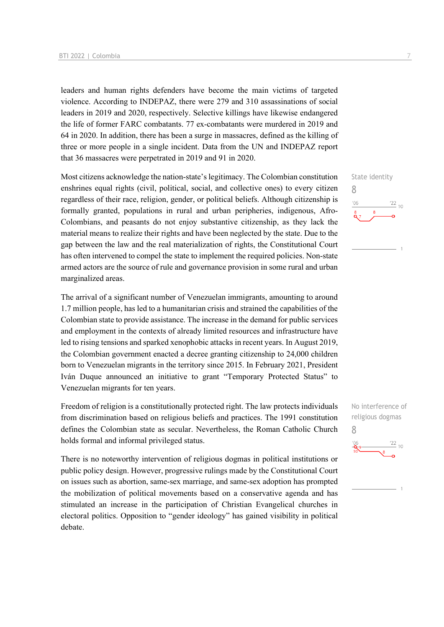leaders and human rights defenders have become the main victims of targeted violence. According to INDEPAZ, there were 279 and 310 assassinations of social leaders in 2019 and 2020, respectively. Selective killings have likewise endangered the life of former FARC combatants. 77 ex-combatants were murdered in 2019 and 64 in 2020. In addition, there has been a surge in massacres, defined as the killing of three or more people in a single incident. Data from the UN and INDEPAZ report that 36 massacres were perpetrated in 2019 and 91 in 2020.

Most citizens acknowledge the nation-state's legitimacy. The Colombian constitution enshrines equal rights (civil, political, social, and collective ones) to every citizen regardless of their race, religion, gender, or political beliefs. Although citizenship is formally granted, populations in rural and urban peripheries, indigenous, Afro-Colombians, and peasants do not enjoy substantive citizenship, as they lack the material means to realize their rights and have been neglected by the state. Due to the gap between the law and the real materialization of rights, the Constitutional Court has often intervened to compel the state to implement the required policies. Non-state armed actors are the source of rule and governance provision in some rural and urban marginalized areas.

The arrival of a significant number of Venezuelan immigrants, amounting to around 1.7 million people, has led to a humanitarian crisis and strained the capabilities of the Colombian state to provide assistance. The increase in the demand for public services and employment in the contexts of already limited resources and infrastructure have led to rising tensions and sparked xenophobic attacks in recent years. In August 2019, the Colombian government enacted a decree granting citizenship to 24,000 children born to Venezuelan migrants in the territory since 2015. In February 2021, President Iván Duque announced an initiative to grant "Temporary Protected Status" to Venezuelan migrants for ten years.

Freedom of religion is a constitutionally protected right. The law protects individuals from discrimination based on religious beliefs and practices. The 1991 constitution defines the Colombian state as secular. Nevertheless, the Roman Catholic Church holds formal and informal privileged status.

There is no noteworthy intervention of religious dogmas in political institutions or public policy design. However, progressive rulings made by the Constitutional Court on issues such as abortion, same-sex marriage, and same-sex adoption has prompted the mobilization of political movements based on a conservative agenda and has stimulated an increase in the participation of Christian Evangelical churches in electoral politics. Opposition to "gender ideology" has gained visibility in political debate.



No interference of religious dogmas 8 $\frac{22}{10}$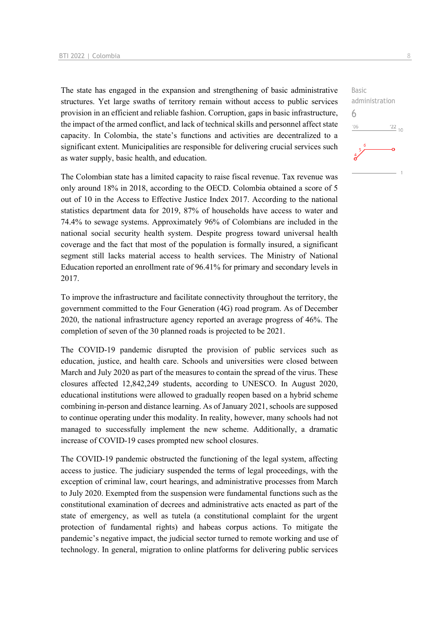The state has engaged in the expansion and strengthening of basic administrative structures. Yet large swaths of territory remain without access to public services provision in an efficient and reliable fashion. Corruption, gaps in basic infrastructure, the impact of the armed conflict, and lack of technical skills and personnel affect state capacity. In Colombia, the state's functions and activities are decentralized to a significant extent. Municipalities are responsible for delivering crucial services such as water supply, basic health, and education.

The Colombian state has a limited capacity to raise fiscal revenue. Tax revenue was only around 18% in 2018, according to the OECD. Colombia obtained a score of 5 out of 10 in the Access to Effective Justice Index 2017. According to the national statistics department data for 2019, 87% of households have access to water and 74.4% to sewage systems. Approximately 96% of Colombians are included in the national social security health system. Despite progress toward universal health coverage and the fact that most of the population is formally insured, a significant segment still lacks material access to health services. The Ministry of National Education reported an enrollment rate of 96.41% for primary and secondary levels in 2017.

To improve the infrastructure and facilitate connectivity throughout the territory, the government committed to the Four Generation (4G) road program. As of December 2020, the national infrastructure agency reported an average progress of 46%. The completion of seven of the 30 planned roads is projected to be 2021.

The COVID-19 pandemic disrupted the provision of public services such as education, justice, and health care. Schools and universities were closed between March and July 2020 as part of the measures to contain the spread of the virus. These closures affected 12,842,249 students, according to UNESCO. In August 2020, educational institutions were allowed to gradually reopen based on a hybrid scheme combining in-person and distance learning. As of January 2021, schools are supposed to continue operating under this modality. In reality, however, many schools had not managed to successfully implement the new scheme. Additionally, a dramatic increase of COVID-19 cases prompted new school closures.

The COVID-19 pandemic obstructed the functioning of the legal system, affecting access to justice. The judiciary suspended the terms of legal proceedings, with the exception of criminal law, court hearings, and administrative processes from March to July 2020. Exempted from the suspension were fundamental functions such as the constitutional examination of decrees and administrative acts enacted as part of the state of emergency, as well as tutela (a constitutional complaint for the urgent protection of fundamental rights) and habeas corpus actions. To mitigate the pandemic's negative impact, the judicial sector turned to remote working and use of technology. In general, migration to online platforms for delivering public services

administration

 $\frac{22}{10}$ 

Basic

6 $106$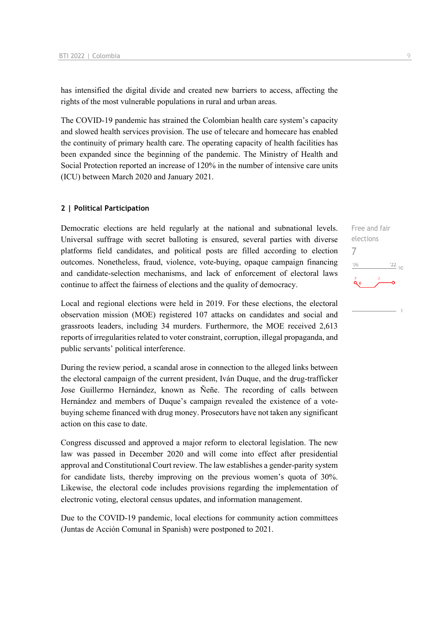has intensified the digital divide and created new barriers to access, affecting the rights of the most vulnerable populations in rural and urban areas.

The COVID-19 pandemic has strained the Colombian health care system's capacity and slowed health services provision. The use of telecare and homecare has enabled the continuity of primary health care. The operating capacity of health facilities has been expanded since the beginning of the pandemic. The Ministry of Health and Social Protection reported an increase of 120% in the number of intensive care units (ICU) between March 2020 and January 2021.

#### **2 | Political Participation**

Democratic elections are held regularly at the national and subnational levels. Universal suffrage with secret balloting is ensured, several parties with diverse platforms field candidates, and political posts are filled according to election outcomes. Nonetheless, fraud, violence, vote-buying, opaque campaign financing and candidate-selection mechanisms, and lack of enforcement of electoral laws continue to affect the fairness of elections and the quality of democracy.

Local and regional elections were held in 2019. For these elections, the electoral observation mission (MOE) registered 107 attacks on candidates and social and grassroots leaders, including 34 murders. Furthermore, the MOE received 2,613 reports of irregularities related to voter constraint, corruption, illegal propaganda, and public servants' political interference.

During the review period, a scandal arose in connection to the alleged links between the electoral campaign of the current president, Iván Duque, and the drug-trafficker Jose Guillermo Hernández, known as Ñeñe. The recording of calls between Hernández and members of Duque's campaign revealed the existence of a votebuying scheme financed with drug money. Prosecutors have not taken any significant action on this case to date.

Congress discussed and approved a major reform to electoral legislation. The new law was passed in December 2020 and will come into effect after presidential approval and Constitutional Court review. The law establishes a gender-parity system for candidate lists, thereby improving on the previous women's quota of 30%. Likewise, the electoral code includes provisions regarding the implementation of electronic voting, electoral census updates, and information management.

Due to the COVID-19 pandemic, local elections for community action committees (Juntas de Acción Comunal in Spanish) were postponed to 2021.

Free and fair elections

 $\frac{22}{10}$ 

7

 $-06$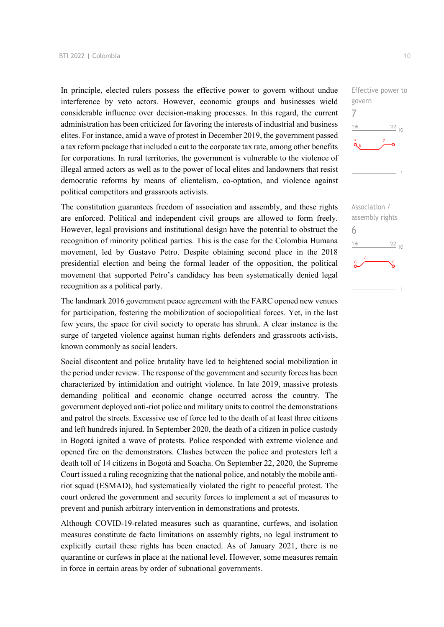In principle, elected rulers possess the effective power to govern without undue interference by veto actors. However, economic groups and businesses wield considerable influence over decision-making processes. In this regard, the current administration has been criticized for favoring the interests of industrial and business elites. For instance, amid a wave of protest in December 2019, the government passed a tax reform package that included a cut to the corporate tax rate, among other benefits for corporations. In rural territories, the government is vulnerable to the violence of illegal armed actors as well as to the power of local elites and landowners that resist democratic reforms by means of clientelism, co-optation, and violence against political competitors and grassroots activists.

The constitution guarantees freedom of association and assembly, and these rights are enforced. Political and independent civil groups are allowed to form freely. However, legal provisions and institutional design have the potential to obstruct the recognition of minority political parties. This is the case for the Colombia Humana movement, led by Gustavo Petro. Despite obtaining second place in the 2018 presidential election and being the formal leader of the opposition, the political movement that supported Petro's candidacy has been systematically denied legal recognition as a political party.

The landmark 2016 government peace agreement with the FARC opened new venues for participation, fostering the mobilization of sociopolitical forces. Yet, in the last few years, the space for civil society to operate has shrunk. A clear instance is the surge of targeted violence against human rights defenders and grassroots activists, known commonly as social leaders.

Social discontent and police brutality have led to heightened social mobilization in the period under review. The response of the government and security forces has been characterized by intimidation and outright violence. In late 2019, massive protests demanding political and economic change occurred across the country. The government deployed anti-riot police and military units to control the demonstrations and patrol the streets. Excessive use of force led to the death of at least three citizens and left hundreds injured. In September 2020, the death of a citizen in police custody in Bogotá ignited a wave of protests. Police responded with extreme violence and opened fire on the demonstrators. Clashes between the police and protesters left a death toll of 14 citizens in Bogotá and Soacha. On September 22, 2020, the Supreme Court issued a ruling recognizing that the national police, and notably the mobile antiriot squad (ESMAD), had systematically violated the right to peaceful protest. The court ordered the government and security forces to implement a set of measures to prevent and punish arbitrary intervention in demonstrations and protests.

Although COVID-19-related measures such as quarantine, curfews, and isolation measures constitute de facto limitations on assembly rights, no legal instrument to explicitly curtail these rights has been enacted. As of January 2021, there is no quarantine or curfews in place at the national level. However, some measures remain in force in certain areas by order of subnational governments.

7

 $-06$ 

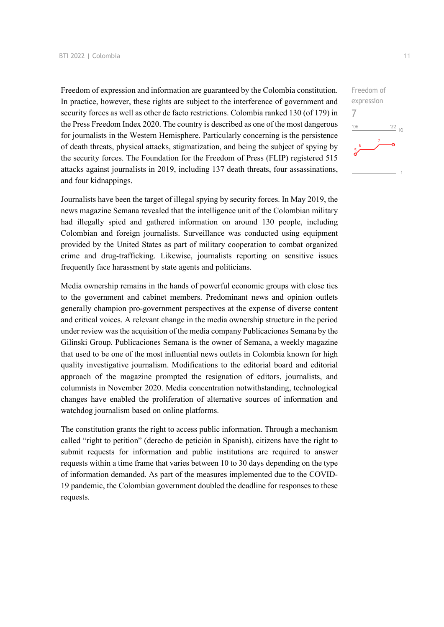Freedom of expression and information are guaranteed by the Colombia constitution. In practice, however, these rights are subject to the interference of government and security forces as well as other de facto restrictions. Colombia ranked 130 (of 179) in the Press Freedom Index 2020. The country is described as one of the most dangerous for journalists in the Western Hemisphere. Particularly concerning is the persistence of death threats, physical attacks, stigmatization, and being the subject of spying by the security forces. The Foundation for the Freedom of Press (FLIP) registered 515 attacks against journalists in 2019, including 137 death threats, four assassinations, and four kidnappings.

Journalists have been the target of illegal spying by security forces. In May 2019, the news magazine Semana revealed that the intelligence unit of the Colombian military had illegally spied and gathered information on around 130 people, including Colombian and foreign journalists. Surveillance was conducted using equipment provided by the United States as part of military cooperation to combat organized crime and drug-trafficking. Likewise, journalists reporting on sensitive issues frequently face harassment by state agents and politicians.

Media ownership remains in the hands of powerful economic groups with close ties to the government and cabinet members. Predominant news and opinion outlets generally champion pro-government perspectives at the expense of diverse content and critical voices. A relevant change in the media ownership structure in the period under review was the acquisition of the media company Publicaciones Semana by the Gilinski Group. Publicaciones Semana is the owner of Semana, a weekly magazine that used to be one of the most influential news outlets in Colombia known for high quality investigative journalism. Modifications to the editorial board and editorial approach of the magazine prompted the resignation of editors, journalists, and columnists in November 2020. Media concentration notwithstanding, technological changes have enabled the proliferation of alternative sources of information and watchdog journalism based on online platforms.

The constitution grants the right to access public information. Through a mechanism called "right to petition" (derecho de petición in Spanish), citizens have the right to submit requests for information and public institutions are required to answer requests within a time frame that varies between 10 to 30 days depending on the type of information demanded. As part of the measures implemented due to the COVID-19 pandemic, the Colombian government doubled the deadline for responses to these requests.

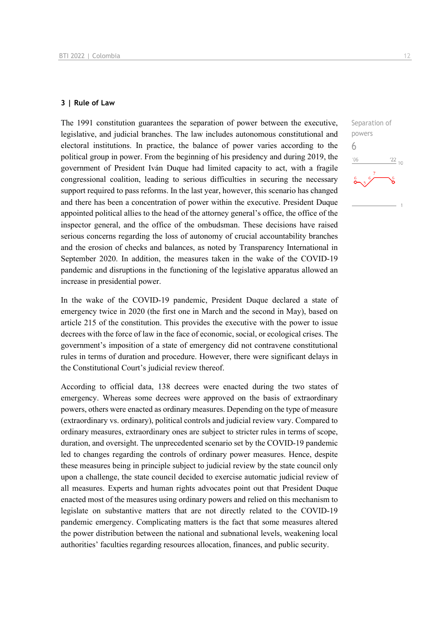#### **3 | Rule of Law**

The 1991 constitution guarantees the separation of power between the executive, legislative, and judicial branches. The law includes autonomous constitutional and electoral institutions. In practice, the balance of power varies according to the political group in power. From the beginning of his presidency and during 2019, the government of President Iván Duque had limited capacity to act, with a fragile congressional coalition, leading to serious difficulties in securing the necessary support required to pass reforms. In the last year, however, this scenario has changed and there has been a concentration of power within the executive. President Duque appointed political allies to the head of the attorney general's office, the office of the inspector general, and the office of the ombudsman. These decisions have raised serious concerns regarding the loss of autonomy of crucial accountability branches and the erosion of checks and balances, as noted by Transparency International in September 2020. In addition, the measures taken in the wake of the COVID-19 pandemic and disruptions in the functioning of the legislative apparatus allowed an increase in presidential power.

In the wake of the COVID-19 pandemic, President Duque declared a state of emergency twice in 2020 (the first one in March and the second in May), based on article 215 of the constitution. This provides the executive with the power to issue decrees with the force of law in the face of economic, social, or ecological crises. The government's imposition of a state of emergency did not contravene constitutional rules in terms of duration and procedure. However, there were significant delays in the Constitutional Court's judicial review thereof.

According to official data, 138 decrees were enacted during the two states of emergency. Whereas some decrees were approved on the basis of extraordinary powers, others were enacted as ordinary measures. Depending on the type of measure (extraordinary vs. ordinary), political controls and judicial review vary. Compared to ordinary measures, extraordinary ones are subject to stricter rules in terms of scope, duration, and oversight. The unprecedented scenario set by the COVID-19 pandemic led to changes regarding the controls of ordinary power measures. Hence, despite these measures being in principle subject to judicial review by the state council only upon a challenge, the state council decided to exercise automatic judicial review of all measures. Experts and human rights advocates point out that President Duque enacted most of the measures using ordinary powers and relied on this mechanism to legislate on substantive matters that are not directly related to the COVID-19 pandemic emergency. Complicating matters is the fact that some measures altered the power distribution between the national and subnational levels, weakening local authorities' faculties regarding resources allocation, finances, and public security.

 $\frac{22}{10}$ 

Separation of powers

6 $-06$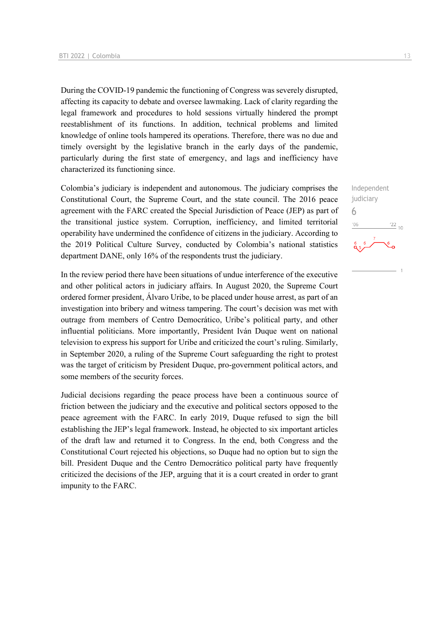During the COVID-19 pandemic the functioning of Congress was severely disrupted, affecting its capacity to debate and oversee lawmaking. Lack of clarity regarding the legal framework and procedures to hold sessions virtually hindered the prompt reestablishment of its functions. In addition, technical problems and limited knowledge of online tools hampered its operations. Therefore, there was no due and timely oversight by the legislative branch in the early days of the pandemic, particularly during the first state of emergency, and lags and inefficiency have characterized its functioning since.

Colombia's judiciary is independent and autonomous. The judiciary comprises the Constitutional Court, the Supreme Court, and the state council. The 2016 peace agreement with the FARC created the Special Jurisdiction of Peace (JEP) as part of the transitional justice system. Corruption, inefficiency, and limited territorial operability have undermined the confidence of citizens in the judiciary. According to the 2019 Political Culture Survey, conducted by Colombia's national statistics department DANE, only 16% of the respondents trust the judiciary.

In the review period there have been situations of undue interference of the executive and other political actors in judiciary affairs. In August 2020, the Supreme Court ordered former president, Álvaro Uribe, to be placed under house arrest, as part of an investigation into bribery and witness tampering. The court's decision was met with outrage from members of Centro Democrático, Uribe's political party, and other influential politicians. More importantly, President Iván Duque went on national television to express his support for Uribe and criticized the court's ruling. Similarly, in September 2020, a ruling of the Supreme Court safeguarding the right to protest was the target of criticism by President Duque, pro-government political actors, and some members of the security forces.

Judicial decisions regarding the peace process have been a continuous source of friction between the judiciary and the executive and political sectors opposed to the peace agreement with the FARC. In early 2019, Duque refused to sign the bill establishing the JEP's legal framework. Instead, he objected to six important articles of the draft law and returned it to Congress. In the end, both Congress and the Constitutional Court rejected his objections, so Duque had no option but to sign the bill. President Duque and the Centro Democrático political party have frequently criticized the decisions of the JEP, arguing that it is a court created in order to grant impunity to the FARC.

Independent judiciary 6 $06'$  $^{22}$  10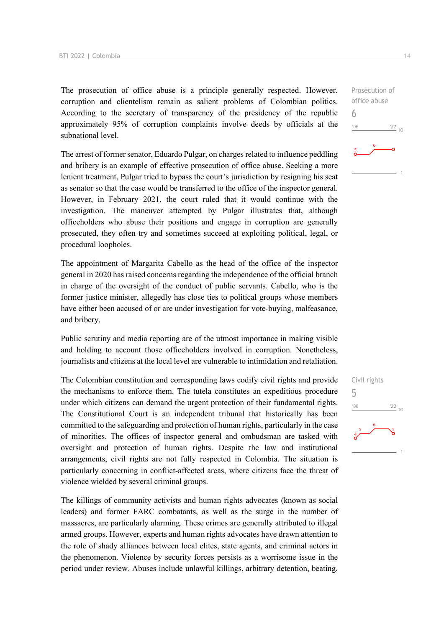The prosecution of office abuse is a principle generally respected. However, corruption and clientelism remain as salient problems of Colombian politics. According to the secretary of transparency of the presidency of the republic approximately 95% of corruption complaints involve deeds by officials at the subnational level.

The arrest of former senator, Eduardo Pulgar, on charges related to influence peddling and bribery is an example of effective prosecution of office abuse. Seeking a more lenient treatment, Pulgar tried to bypass the court's jurisdiction by resigning his seat as senator so that the case would be transferred to the office of the inspector general. However, in February 2021, the court ruled that it would continue with the investigation. The maneuver attempted by Pulgar illustrates that, although officeholders who abuse their positions and engage in corruption are generally prosecuted, they often try and sometimes succeed at exploiting political, legal, or procedural loopholes.

The appointment of Margarita Cabello as the head of the office of the inspector general in 2020 has raised concerns regarding the independence of the official branch in charge of the oversight of the conduct of public servants. Cabello, who is the former justice minister, allegedly has close ties to political groups whose members have either been accused of or are under investigation for vote-buying, malfeasance, and bribery.

Public scrutiny and media reporting are of the utmost importance in making visible and holding to account those officeholders involved in corruption. Nonetheless, journalists and citizens at the local level are vulnerable to intimidation and retaliation.

The Colombian constitution and corresponding laws codify civil rights and provide the mechanisms to enforce them. The tutela constitutes an expeditious procedure under which citizens can demand the urgent protection of their fundamental rights. The Constitutional Court is an independent tribunal that historically has been committed to the safeguarding and protection of human rights, particularly in the case of minorities. The offices of inspector general and ombudsman are tasked with oversight and protection of human rights. Despite the law and institutional arrangements, civil rights are not fully respected in Colombia. The situation is particularly concerning in conflict-affected areas, where citizens face the threat of violence wielded by several criminal groups.

The killings of community activists and human rights advocates (known as social leaders) and former FARC combatants, as well as the surge in the number of massacres, are particularly alarming. These crimes are generally attributed to illegal armed groups. However, experts and human rights advocates have drawn attention to the role of shady alliances between local elites, state agents, and criminal actors in the phenomenon. Violence by security forces persists as a worrisome issue in the period under review. Abuses include unlawful killings, arbitrary detention, beating,

Prosecution of office abuse



6

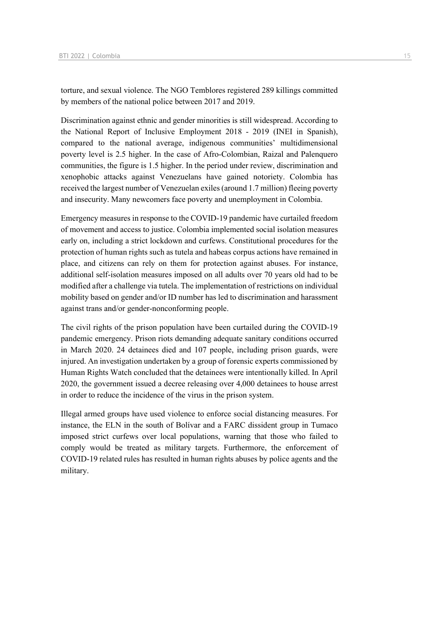torture, and sexual violence. The NGO Temblores registered 289 killings committed by members of the national police between 2017 and 2019.

Discrimination against ethnic and gender minorities is still widespread. According to the National Report of Inclusive Employment 2018 - 2019 (INEI in Spanish), compared to the national average, indigenous communities' multidimensional poverty level is 2.5 higher. In the case of Afro-Colombian, Raizal and Palenquero communities, the figure is 1.5 higher. In the period under review, discrimination and xenophobic attacks against Venezuelans have gained notoriety. Colombia has received the largest number of Venezuelan exiles (around 1.7 million) fleeing poverty and insecurity. Many newcomers face poverty and unemployment in Colombia.

Emergency measures in response to the COVID-19 pandemic have curtailed freedom of movement and access to justice. Colombia implemented social isolation measures early on, including a strict lockdown and curfews. Constitutional procedures for the protection of human rights such as tutela and habeas corpus actions have remained in place, and citizens can rely on them for protection against abuses. For instance, additional self-isolation measures imposed on all adults over 70 years old had to be modified after a challenge via tutela. The implementation of restrictions on individual mobility based on gender and/or ID number has led to discrimination and harassment against trans and/or gender-nonconforming people.

The civil rights of the prison population have been curtailed during the COVID-19 pandemic emergency. Prison riots demanding adequate sanitary conditions occurred in March 2020. 24 detainees died and 107 people, including prison guards, were injured. An investigation undertaken by a group of forensic experts commissioned by Human Rights Watch concluded that the detainees were intentionally killed. In April 2020, the government issued a decree releasing over 4,000 detainees to house arrest in order to reduce the incidence of the virus in the prison system.

Illegal armed groups have used violence to enforce social distancing measures. For instance, the ELN in the south of Bolívar and a FARC dissident group in Tumaco imposed strict curfews over local populations, warning that those who failed to comply would be treated as military targets. Furthermore, the enforcement of COVID-19 related rules has resulted in human rights abuses by police agents and the military.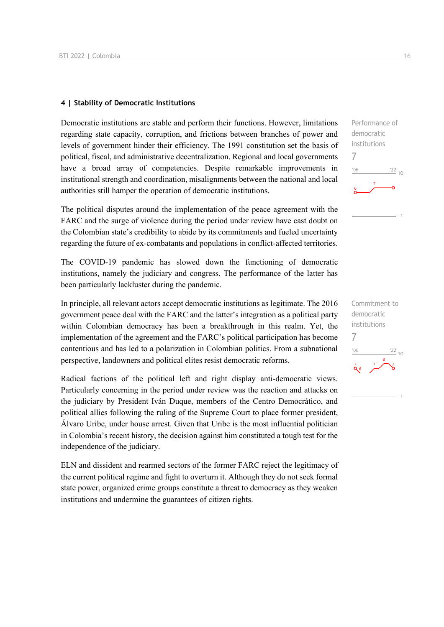#### **4 | Stability of Democratic Institutions**

Democratic institutions are stable and perform their functions. However, limitations regarding state capacity, corruption, and frictions between branches of power and levels of government hinder their efficiency. The 1991 constitution set the basis of political, fiscal, and administrative decentralization. Regional and local governments have a broad array of competencies. Despite remarkable improvements in institutional strength and coordination, misalignments between the national and local authorities still hamper the operation of democratic institutions.

The political disputes around the implementation of the peace agreement with the FARC and the surge of violence during the period under review have cast doubt on the Colombian state's credibility to abide by its commitments and fueled uncertainty regarding the future of ex-combatants and populations in conflict-affected territories.

The COVID-19 pandemic has slowed down the functioning of democratic institutions, namely the judiciary and congress. The performance of the latter has been particularly lackluster during the pandemic.

In principle, all relevant actors accept democratic institutions as legitimate. The 2016 government peace deal with the FARC and the latter's integration as a political party within Colombian democracy has been a breakthrough in this realm. Yet, the implementation of the agreement and the FARC's political participation has become contentious and has led to a polarization in Colombian politics. From a subnational perspective, landowners and political elites resist democratic reforms.

Radical factions of the political left and right display anti-democratic views. Particularly concerning in the period under review was the reaction and attacks on the judiciary by President Iván Duque, members of the Centro Democrático, and political allies following the ruling of the Supreme Court to place former president, Álvaro Uribe, under house arrest. Given that Uribe is the most influential politician in Colombia's recent history, the decision against him constituted a tough test for the independence of the judiciary.

ELN and dissident and rearmed sectors of the former FARC reject the legitimacy of the current political regime and fight to overturn it. Although they do not seek formal state power, organized crime groups constitute a threat to democracy as they weaken institutions and undermine the guarantees of citizen rights.

Performance of democratic institutions 7  $\frac{22}{10}$  $106$ 

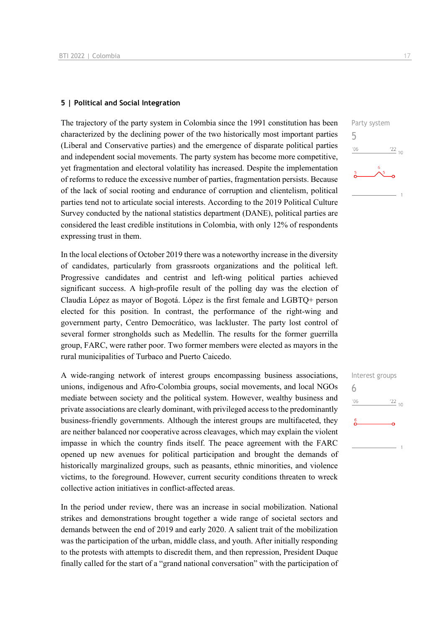#### **5 | Political and Social Integration**

The trajectory of the party system in Colombia since the 1991 constitution has been characterized by the declining power of the two historically most important parties (Liberal and Conservative parties) and the emergence of disparate political parties and independent social movements. The party system has become more competitive, yet fragmentation and electoral volatility has increased. Despite the implementation of reforms to reduce the excessive number of parties, fragmentation persists. Because of the lack of social rooting and endurance of corruption and clientelism, political parties tend not to articulate social interests. According to the 2019 Political Culture Survey conducted by the national statistics department (DANE), political parties are considered the least credible institutions in Colombia, with only 12% of respondents expressing trust in them.

In the local elections of October 2019 there was a noteworthy increase in the diversity of candidates, particularly from grassroots organizations and the political left. Progressive candidates and centrist and left-wing political parties achieved significant success. A high-profile result of the polling day was the election of Claudia López as mayor of Bogotá. López is the first female and LGBTQ+ person elected for this position. In contrast, the performance of the right-wing and government party, Centro Democrático, was lackluster. The party lost control of several former strongholds such as Medellín. The results for the former guerrilla group, FARC, were rather poor. Two former members were elected as mayors in the rural municipalities of Turbaco and Puerto Caicedo.

A wide-ranging network of interest groups encompassing business associations, unions, indigenous and Afro-Colombia groups, social movements, and local NGOs mediate between society and the political system. However, wealthy business and private associations are clearly dominant, with privileged access to the predominantly business-friendly governments. Although the interest groups are multifaceted, they are neither balanced nor cooperative across cleavages, which may explain the violent impasse in which the country finds itself. The peace agreement with the FARC opened up new avenues for political participation and brought the demands of historically marginalized groups, such as peasants, ethnic minorities, and violence victims, to the foreground. However, current security conditions threaten to wreck collective action initiatives in conflict-affected areas.

In the period under review, there was an increase in social mobilization. National strikes and demonstrations brought together a wide range of societal sectors and demands between the end of 2019 and early 2020. A salient trait of the mobilization was the participation of the urban, middle class, and youth. After initially responding to the protests with attempts to discredit them, and then repression, President Duque finally called for the start of a "grand national conversation" with the participation of



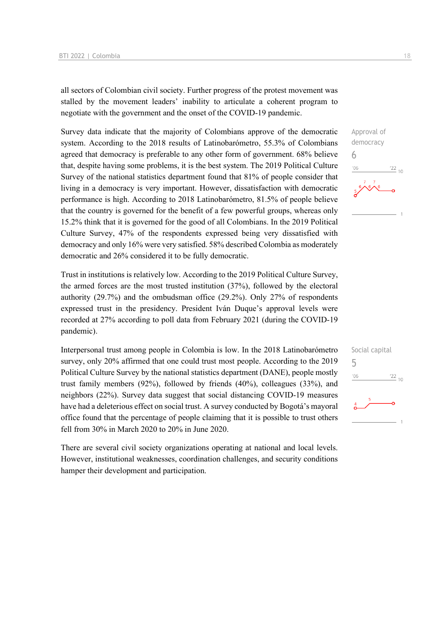all sectors of Colombian civil society. Further progress of the protest movement was stalled by the movement leaders' inability to articulate a coherent program to negotiate with the government and the onset of the COVID-19 pandemic.

Survey data indicate that the majority of Colombians approve of the democratic system. According to the 2018 results of Latinobarómetro, 55.3% of Colombians agreed that democracy is preferable to any other form of government. 68% believe that, despite having some problems, it is the best system. The 2019 Political Culture Survey of the national statistics department found that 81% of people consider that living in a democracy is very important. However, dissatisfaction with democratic performance is high. According to 2018 Latinobarómetro, 81.5% of people believe that the country is governed for the benefit of a few powerful groups, whereas only 15.2% think that it is governed for the good of all Colombians. In the 2019 Political Culture Survey, 47% of the respondents expressed being very dissatisfied with democracy and only 16% were very satisfied. 58% described Colombia as moderately democratic and 26% considered it to be fully democratic.

Trust in institutions is relatively low. According to the 2019 Political Culture Survey, the armed forces are the most trusted institution (37%), followed by the electoral authority (29.7%) and the ombudsman office (29.2%). Only 27% of respondents expressed trust in the presidency. President Iván Duque's approval levels were recorded at 27% according to poll data from February 2021 (during the COVID-19 pandemic).

Interpersonal trust among people in Colombia is low. In the 2018 Latinobarómetro survey, only 20% affirmed that one could trust most people. According to the 2019 Political Culture Survey by the national statistics department (DANE), people mostly trust family members (92%), followed by friends (40%), colleagues (33%), and neighbors (22%). Survey data suggest that social distancing COVID-19 measures have had a deleterious effect on social trust. A survey conducted by Bogotá's mayoral office found that the percentage of people claiming that it is possible to trust others fell from 30% in March 2020 to 20% in June 2020.

There are several civil society organizations operating at national and local levels. However, institutional weaknesses, coordination challenges, and security conditions hamper their development and participation.



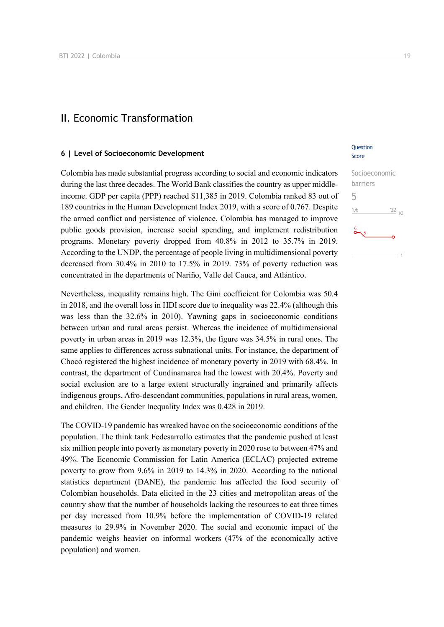### II. Economic Transformation

#### **6 | Level of Socioeconomic Development**

Colombia has made substantial progress according to social and economic indicators during the last three decades. The World Bank classifies the country as upper middleincome. GDP per capita (PPP) reached \$11,385 in 2019. Colombia ranked 83 out of 189 countries in the Human Development Index 2019, with a score of 0.767. Despite the armed conflict and persistence of violence, Colombia has managed to improve public goods provision, increase social spending, and implement redistribution programs. Monetary poverty dropped from 40.8% in 2012 to 35.7% in 2019. According to the UNDP, the percentage of people living in multidimensional poverty decreased from 30.4% in 2010 to 17.5% in 2019. 73% of poverty reduction was concentrated in the departments of Nariño, Valle del Cauca, and Atlántico.

Nevertheless, inequality remains high. The Gini coefficient for Colombia was 50.4 in 2018, and the overall loss in HDI score due to inequality was 22.4% (although this was less than the 32.6% in 2010). Yawning gaps in socioeconomic conditions between urban and rural areas persist. Whereas the incidence of multidimensional poverty in urban areas in 2019 was 12.3%, the figure was 34.5% in rural ones. The same applies to differences across subnational units. For instance, the department of Chocó registered the highest incidence of monetary poverty in 2019 with 68.4%. In contrast, the department of Cundinamarca had the lowest with 20.4%. Poverty and social exclusion are to a large extent structurally ingrained and primarily affects indigenous groups, Afro-descendant communities, populations in rural areas, women, and children. The Gender Inequality Index was 0.428 in 2019.

The COVID-19 pandemic has wreaked havoc on the socioeconomic conditions of the population. The think tank Fedesarrollo estimates that the pandemic pushed at least six million people into poverty as monetary poverty in 2020 rose to between 47% and 49%. The Economic Commission for Latin America (ECLAC) projected extreme poverty to grow from 9.6% in 2019 to 14.3% in 2020. According to the national statistics department (DANE), the pandemic has affected the food security of Colombian households. Data elicited in the 23 cities and metropolitan areas of the country show that the number of households lacking the resources to eat three times per day increased from 10.9% before the implementation of COVID-19 related measures to 29.9% in November 2020. The social and economic impact of the pandemic weighs heavier on informal workers (47% of the economically active population) and women.

#### **Question** Score

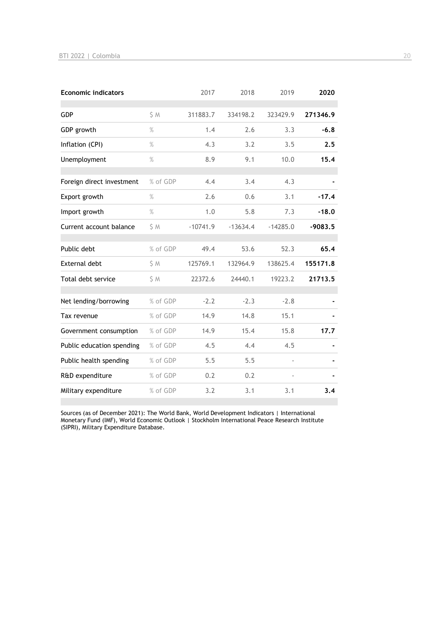| <b>Economic indicators</b> |          | 2017       | 2018       | 2019       | 2020      |
|----------------------------|----------|------------|------------|------------|-----------|
| GDP                        | S M      | 311883.7   | 334198.2   | 323429.9   | 271346.9  |
| GDP growth                 | $\%$     | 1.4        | 2.6        | 3.3        | $-6.8$    |
| Inflation (CPI)            | $\%$     | 4.3        | 3.2        | 3.5        | 2.5       |
| Unemployment               | $\%$     | 8.9        | 9.1        | 10.0       | 15.4      |
| Foreign direct investment  | % of GDP | 4.4        | 3.4        | 4.3        |           |
| Export growth              | $\%$     | 2.6        | 0.6        | 3.1        | $-17.4$   |
| Import growth              | $\%$     | 1.0        | 5.8        | 7.3        | $-18.0$   |
| Current account balance    | \$ M     | $-10741.9$ | $-13634.4$ | $-14285.0$ | $-9083.5$ |
| Public debt                | % of GDP | 49.4       | 53.6       | 52.3       | 65.4      |
| External debt              | S M      | 125769.1   | 132964.9   | 138625.4   | 155171.8  |
| Total debt service         | \$M      | 22372.6    | 24440.1    | 19223.2    | 21713.5   |
| Net lending/borrowing      | % of GDP | $-2.2$     | $-2.3$     | $-2.8$     |           |
| Tax revenue                | % of GDP | 14.9       | 14.8       | 15.1       |           |
| Government consumption     | % of GDP | 14.9       | 15.4       | 15.8       | 17.7      |
| Public education spending  | % of GDP | 4.5        | 4.4        | 4.5        |           |
| Public health spending     | % of GDP | 5.5        | 5.5        |            |           |
| R&D expenditure            | % of GDP | 0.2        | 0.2        |            |           |
| Military expenditure       | % of GDP | 3.2        | 3.1        | 3.1        | 3.4       |

Sources (as of December 2021): The World Bank, World Development Indicators | International Monetary Fund (IMF), World Economic Outlook | Stockholm International Peace Research Institute (SIPRI), Military Expenditure Database.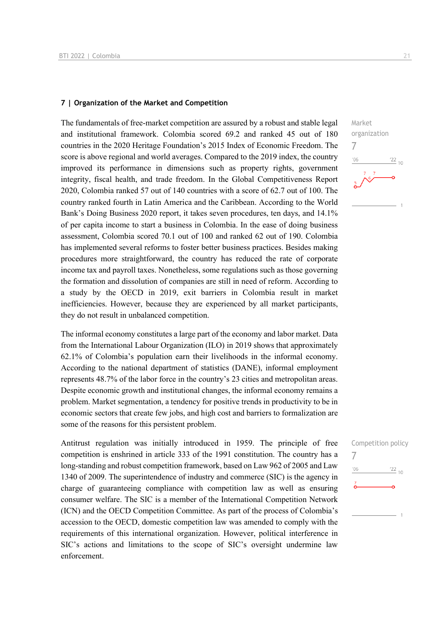#### **7 | Organization of the Market and Competition**

The fundamentals of free-market competition are assured by a robust and stable legal and institutional framework. Colombia scored 69.2 and ranked 45 out of 180 countries in the 2020 Heritage Foundation's 2015 Index of Economic Freedom. The score is above regional and world averages. Compared to the 2019 index, the country improved its performance in dimensions such as property rights, government integrity, fiscal health, and trade freedom. In the Global Competitiveness Report 2020, Colombia ranked 57 out of 140 countries with a score of 62.7 out of 100. The country ranked fourth in Latin America and the Caribbean. According to the World Bank's Doing Business 2020 report, it takes seven procedures, ten days, and 14.1% of per capita income to start a business in Colombia. In the ease of doing business assessment, Colombia scored 70.1 out of 100 and ranked 62 out of 190. Colombia has implemented several reforms to foster better business practices. Besides making procedures more straightforward, the country has reduced the rate of corporate income tax and payroll taxes. Nonetheless, some regulations such as those governing the formation and dissolution of companies are still in need of reform. According to a study by the OECD in 2019, exit barriers in Colombia result in market inefficiencies. However, because they are experienced by all market participants, they do not result in unbalanced competition.

The informal economy constitutes a large part of the economy and labor market. Data from the International Labour Organization (ILO) in 2019 shows that approximately 62.1% of Colombia's population earn their livelihoods in the informal economy. According to the national department of statistics (DANE), informal employment represents 48.7% of the labor force in the country's 23 cities and metropolitan areas. Despite economic growth and institutional changes, the informal economy remains a problem. Market segmentation, a tendency for positive trends in productivity to be in economic sectors that create few jobs, and high cost and barriers to formalization are some of the reasons for this persistent problem.

Antitrust regulation was initially introduced in 1959. The principle of free competition is enshrined in article 333 of the 1991 constitution. The country has a long-standing and robust competition framework, based on Law 962 of 2005 and Law 1340 of 2009. The superintendence of industry and commerce (SIC) is the agency in charge of guaranteeing compliance with competition law as well as ensuring consumer welfare. The SIC is a member of the International Competition Network (ICN) and the OECD Competition Committee. As part of the process of Colombia's accession to the OECD, domestic competition law was amended to comply with the requirements of this international organization. However, political interference in SIC's actions and limitations to the scope of SIC's oversight undermine law enforcement.



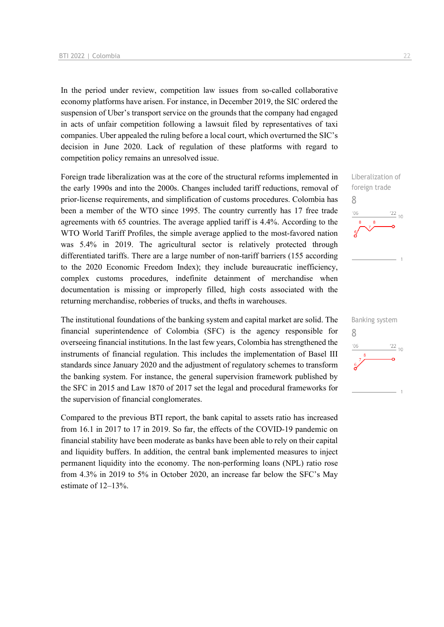In the period under review, competition law issues from so-called collaborative economy platforms have arisen. For instance, in December 2019, the SIC ordered the suspension of Uber's transport service on the grounds that the company had engaged in acts of unfair competition following a lawsuit filed by representatives of taxi companies. Uber appealed the ruling before a local court, which overturned the SIC's decision in June 2020. Lack of regulation of these platforms with regard to competition policy remains an unresolved issue.

Foreign trade liberalization was at the core of the structural reforms implemented in the early 1990s and into the 2000s. Changes included tariff reductions, removal of prior-license requirements, and simplification of customs procedures. Colombia has been a member of the WTO since 1995. The country currently has 17 free trade agreements with 65 countries. The average applied tariff is 4.4%. According to the WTO World Tariff Profiles, the simple average applied to the most-favored nation was 5.4% in 2019. The agricultural sector is relatively protected through differentiated tariffs. There are a large number of non-tariff barriers (155 according to the 2020 Economic Freedom Index); they include bureaucratic inefficiency, complex customs procedures, indefinite detainment of merchandise when documentation is missing or improperly filled, high costs associated with the returning merchandise, robberies of trucks, and thefts in warehouses.

The institutional foundations of the banking system and capital market are solid. The financial superintendence of Colombia (SFC) is the agency responsible for overseeing financial institutions. In the last few years, Colombia has strengthened the instruments of financial regulation. This includes the implementation of Basel III standards since January 2020 and the adjustment of regulatory schemes to transform the banking system. For instance, the general supervision framework published by the SFC in 2015 and Law 1870 of 2017 set the legal and procedural frameworks for the supervision of financial conglomerates.

Compared to the previous BTI report, the bank capital to assets ratio has increased from 16.1 in 2017 to 17 in 2019. So far, the effects of the COVID-19 pandemic on financial stability have been moderate as banks have been able to rely on their capital and liquidity buffers. In addition, the central bank implemented measures to inject permanent liquidity into the economy. The non-performing loans (NPL) ratio rose from 4.3% in 2019 to 5% in October 2020, an increase far below the SFC's May estimate of 12–13%.

Liberalization of foreign trade 8  $\frac{22}{10}$  $106$ 

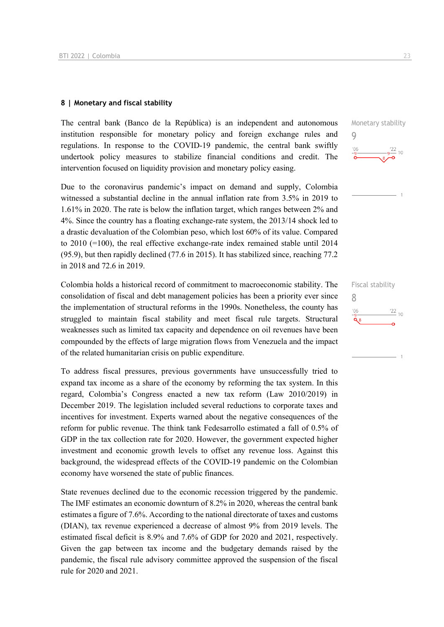#### **8 | Monetary and fiscal stability**

The central bank (Banco de la República) is an independent and autonomous institution responsible for monetary policy and foreign exchange rules and regulations. In response to the COVID-19 pandemic, the central bank swiftly undertook policy measures to stabilize financial conditions and credit. The intervention focused on liquidity provision and monetary policy easing.

Due to the coronavirus pandemic's impact on demand and supply, Colombia witnessed a substantial decline in the annual inflation rate from 3.5% in 2019 to 1.61% in 2020. The rate is below the inflation target, which ranges between 2% and 4%. Since the country has a floating exchange-rate system, the 2013/14 shock led to a drastic devaluation of the Colombian peso, which lost 60% of its value. Compared to 2010 (=100), the real effective exchange-rate index remained stable until 2014 (95.9), but then rapidly declined (77.6 in 2015). It has stabilized since, reaching 77.2 in 2018 and 72.6 in 2019.

Colombia holds a historical record of commitment to macroeconomic stability. The consolidation of fiscal and debt management policies has been a priority ever since the implementation of structural reforms in the 1990s. Nonetheless, the county has struggled to maintain fiscal stability and meet fiscal rule targets. Structural weaknesses such as limited tax capacity and dependence on oil revenues have been compounded by the effects of large migration flows from Venezuela and the impact of the related humanitarian crisis on public expenditure.

To address fiscal pressures, previous governments have unsuccessfully tried to expand tax income as a share of the economy by reforming the tax system. In this regard, Colombia's Congress enacted a new tax reform (Law 2010/2019) in December 2019. The legislation included several reductions to corporate taxes and incentives for investment. Experts warned about the negative consequences of the reform for public revenue. The think tank Fedesarrollo estimated a fall of 0.5% of GDP in the tax collection rate for 2020. However, the government expected higher investment and economic growth levels to offset any revenue loss. Against this background, the widespread effects of the COVID-19 pandemic on the Colombian economy have worsened the state of public finances.

State revenues declined due to the economic recession triggered by the pandemic. The IMF estimates an economic downturn of 8.2% in 2020, whereas the central bank estimates a figure of 7.6%. According to the national directorate of taxes and customs (DIAN), tax revenue experienced a decrease of almost 9% from 2019 levels. The estimated fiscal deficit is 8.9% and 7.6% of GDP for 2020 and 2021, respectively. Given the gap between tax income and the budgetary demands raised by the pandemic, the fiscal rule advisory committee approved the suspension of the fiscal rule for 2020 and 2021.

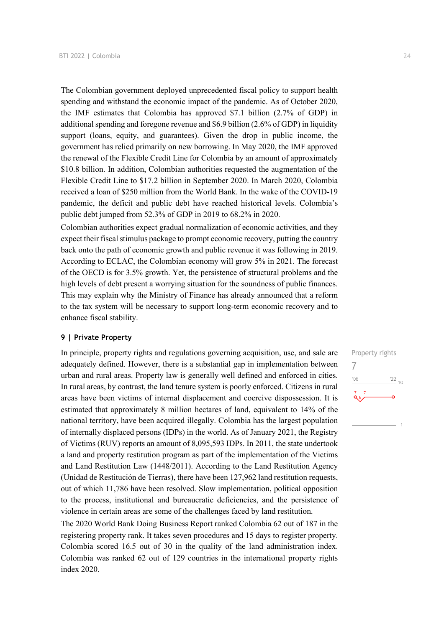The Colombian government deployed unprecedented fiscal policy to support health spending and withstand the economic impact of the pandemic. As of October 2020, the IMF estimates that Colombia has approved \$7.1 billion (2.7% of GDP) in additional spending and foregone revenue and \$6.9 billion (2.6% of GDP) in liquidity support (loans, equity, and guarantees). Given the drop in public income, the government has relied primarily on new borrowing. In May 2020, the IMF approved the renewal of the Flexible Credit Line for Colombia by an amount of approximately \$10.8 billion. In addition, Colombian authorities requested the augmentation of the Flexible Credit Line to \$17.2 billion in September 2020. In March 2020, Colombia received a loan of \$250 million from the World Bank. In the wake of the COVID-19 pandemic, the deficit and public debt have reached historical levels. Colombia's public debt jumped from 52.3% of GDP in 2019 to 68.2% in 2020.

Colombian authorities expect gradual normalization of economic activities, and they expect their fiscal stimulus package to prompt economic recovery, putting the country back onto the path of economic growth and public revenue it was following in 2019. According to ECLAC, the Colombian economy will grow 5% in 2021. The forecast of the OECD is for 3.5% growth. Yet, the persistence of structural problems and the high levels of debt present a worrying situation for the soundness of public finances. This may explain why the Ministry of Finance has already announced that a reform to the tax system will be necessary to support long-term economic recovery and to enhance fiscal stability.

#### **9 | Private Property**

In principle, property rights and regulations governing acquisition, use, and sale are adequately defined. However, there is a substantial gap in implementation between urban and rural areas. Property law is generally well defined and enforced in cities. In rural areas, by contrast, the land tenure system is poorly enforced. Citizens in rural areas have been victims of internal displacement and coercive dispossession. It is estimated that approximately 8 million hectares of land, equivalent to 14% of the national territory, have been acquired illegally. Colombia has the largest population of internally displaced persons (IDPs) in the world. As of January 2021, the Registry of Victims (RUV) reports an amount of 8,095,593 IDPs. In 2011, the state undertook a land and property restitution program as part of the implementation of the Victims and Land Restitution Law (1448/2011). According to the Land Restitution Agency (Unidad de Restitución de Tierras), there have been 127,962 land restitution requests, out of which 11,786 have been resolved. Slow implementation, political opposition to the process, institutional and bureaucratic deficiencies, and the persistence of violence in certain areas are some of the challenges faced by land restitution.

The 2020 World Bank Doing Business Report ranked Colombia 62 out of 187 in the registering property rank. It takes seven procedures and 15 days to register property. Colombia scored 16.5 out of 30 in the quality of the land administration index. Colombia was ranked 62 out of 129 countries in the international property rights index 2020.

Property rights 7 $\frac{22}{10}$  $-06$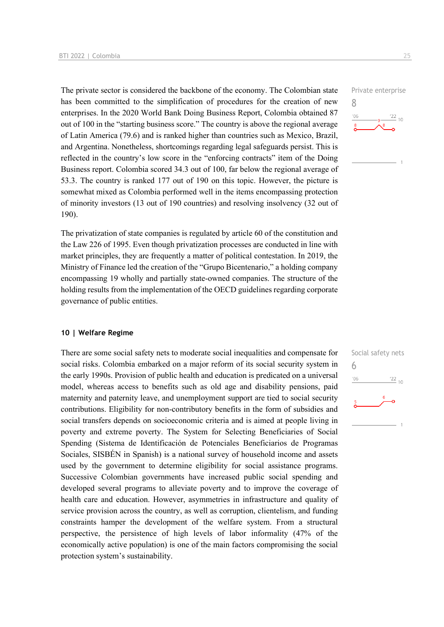The private sector is considered the backbone of the economy. The Colombian state has been committed to the simplification of procedures for the creation of new enterprises. In the 2020 World Bank Doing Business Report, Colombia obtained 87 out of 100 in the "starting business score." The country is above the regional average of Latin America (79.6) and is ranked higher than countries such as Mexico, Brazil, and Argentina. Nonetheless, shortcomings regarding legal safeguards persist. This is reflected in the country's low score in the "enforcing contracts" item of the Doing Business report. Colombia scored 34.3 out of 100, far below the regional average of 53.3. The country is ranked 177 out of 190 on this topic. However, the picture is somewhat mixed as Colombia performed well in the items encompassing protection of minority investors (13 out of 190 countries) and resolving insolvency (32 out of 190).

The privatization of state companies is regulated by article 60 of the constitution and the Law 226 of 1995. Even though privatization processes are conducted in line with market principles, they are frequently a matter of political contestation. In 2019, the Ministry of Finance led the creation of the "Grupo Bicentenario," a holding company encompassing 19 wholly and partially state-owned companies. The structure of the holding results from the implementation of the OECD guidelines regarding corporate governance of public entities.

#### **10 | Welfare Regime**

There are some social safety nets to moderate social inequalities and compensate for social risks. Colombia embarked on a major reform of its social security system in the early 1990s. Provision of public health and education is predicated on a universal model, whereas access to benefits such as old age and disability pensions, paid maternity and paternity leave, and unemployment support are tied to social security contributions. Eligibility for non-contributory benefits in the form of subsidies and social transfers depends on socioeconomic criteria and is aimed at people living in poverty and extreme poverty. The System for Selecting Beneficiaries of Social Spending (Sistema de Identificación de Potenciales Beneficiarios de Programas Sociales, SISBÉN in Spanish) is a national survey of household income and assets used by the government to determine eligibility for social assistance programs. Successive Colombian governments have increased public social spending and developed several programs to alleviate poverty and to improve the coverage of health care and education. However, asymmetries in infrastructure and quality of service provision across the country, as well as corruption, clientelism, and funding constraints hamper the development of the welfare system. From a structural perspective, the persistence of high levels of labor informality (47% of the economically active population) is one of the main factors compromising the social protection system's sustainability.



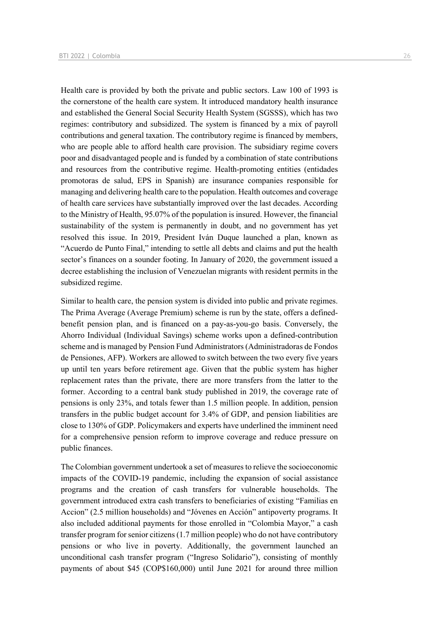Health care is provided by both the private and public sectors. Law 100 of 1993 is the cornerstone of the health care system. It introduced mandatory health insurance and established the General Social Security Health System (SGSSS), which has two regimes: contributory and subsidized. The system is financed by a mix of payroll contributions and general taxation. The contributory regime is financed by members, who are people able to afford health care provision. The subsidiary regime covers poor and disadvantaged people and is funded by a combination of state contributions and resources from the contributive regime. Health-promoting entities (entidades promotoras de salud, EPS in Spanish) are insurance companies responsible for managing and delivering health care to the population. Health outcomes and coverage of health care services have substantially improved over the last decades. According to the Ministry of Health, 95.07% of the population is insured. However, the financial sustainability of the system is permanently in doubt, and no government has yet resolved this issue. In 2019, President Iván Duque launched a plan, known as "Acuerdo de Punto Final," intending to settle all debts and claims and put the health sector's finances on a sounder footing. In January of 2020, the government issued a decree establishing the inclusion of Venezuelan migrants with resident permits in the subsidized regime.

Similar to health care, the pension system is divided into public and private regimes. The Prima Average (Average Premium) scheme is run by the state, offers a definedbenefit pension plan, and is financed on a pay-as-you-go basis. Conversely, the Ahorro Individual (Individual Savings) scheme works upon a defined-contribution scheme and is managed by Pension Fund Administrators (Administradoras de Fondos de Pensiones, AFP). Workers are allowed to switch between the two every five years up until ten years before retirement age. Given that the public system has higher replacement rates than the private, there are more transfers from the latter to the former. According to a central bank study published in 2019, the coverage rate of pensions is only 23%, and totals fewer than 1.5 million people. In addition, pension transfers in the public budget account for 3.4% of GDP, and pension liabilities are close to 130% of GDP. Policymakers and experts have underlined the imminent need for a comprehensive pension reform to improve coverage and reduce pressure on public finances.

The Colombian government undertook a set of measures to relieve the socioeconomic impacts of the COVID-19 pandemic, including the expansion of social assistance programs and the creation of cash transfers for vulnerable households. The government introduced extra cash transfers to beneficiaries of existing "Familias en Accion" (2.5 million households) and "Jóvenes en Acción" antipoverty programs. It also included additional payments for those enrolled in "Colombia Mayor," a cash transfer program for senior citizens (1.7 million people) who do not have contributory pensions or who live in poverty. Additionally, the government launched an unconditional cash transfer program ("Ingreso Solidario"), consisting of monthly payments of about \$45 (COP\$160,000) until June 2021 for around three million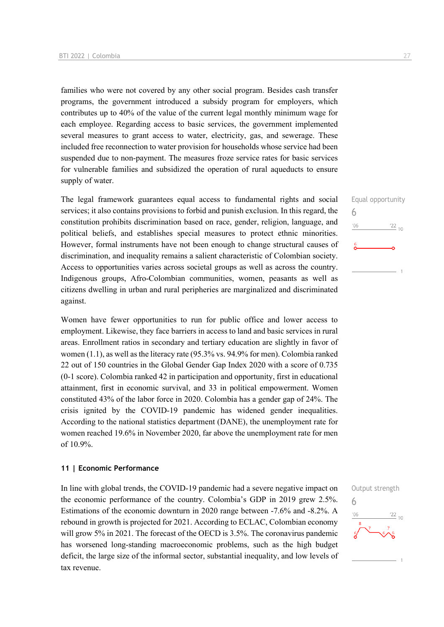families who were not covered by any other social program. Besides cash transfer programs, the government introduced a subsidy program for employers, which contributes up to 40% of the value of the current legal monthly minimum wage for each employee. Regarding access to basic services, the government implemented several measures to grant access to water, electricity, gas, and sewerage. These included free reconnection to water provision for households whose service had been suspended due to non-payment. The measures froze service rates for basic services for vulnerable families and subsidized the operation of rural aqueducts to ensure supply of water.

The legal framework guarantees equal access to fundamental rights and social services; it also contains provisions to forbid and punish exclusion. In this regard, the constitution prohibits discrimination based on race, gender, religion, language, and political beliefs, and establishes special measures to protect ethnic minorities. However, formal instruments have not been enough to change structural causes of discrimination, and inequality remains a salient characteristic of Colombian society. Access to opportunities varies across societal groups as well as across the country. Indigenous groups, Afro-Colombian communities, women, peasants as well as citizens dwelling in urban and rural peripheries are marginalized and discriminated against.

Women have fewer opportunities to run for public office and lower access to employment. Likewise, they face barriers in access to land and basic services in rural areas. Enrollment ratios in secondary and tertiary education are slightly in favor of women (1.1), as well as the literacy rate (95.3% vs. 94.9% for men). Colombia ranked 22 out of 150 countries in the Global Gender Gap Index 2020 with a score of 0.735 (0-1 score). Colombia ranked 42 in participation and opportunity, first in educational attainment, first in economic survival, and 33 in political empowerment. Women constituted 43% of the labor force in 2020. Colombia has a gender gap of 24%. The crisis ignited by the COVID-19 pandemic has widened gender inequalities. According to the national statistics department (DANE), the unemployment rate for women reached 19.6% in November 2020, far above the unemployment rate for men of 10.9%.

#### **11 | Economic Performance**

In line with global trends, the COVID-19 pandemic had a severe negative impact on the economic performance of the country. Colombia's GDP in 2019 grew 2.5%. Estimations of the economic downturn in 2020 range between -7.6% and -8.2%. A rebound in growth is projected for 2021. According to ECLAC, Colombian economy will grow 5% in 2021. The forecast of the OECD is 3.5%. The coronavirus pandemic has worsened long-standing macroeconomic problems, such as the high budget deficit, the large size of the informal sector, substantial inequality, and low levels of tax revenue.

6

 $n<sub>6</sub>$ 

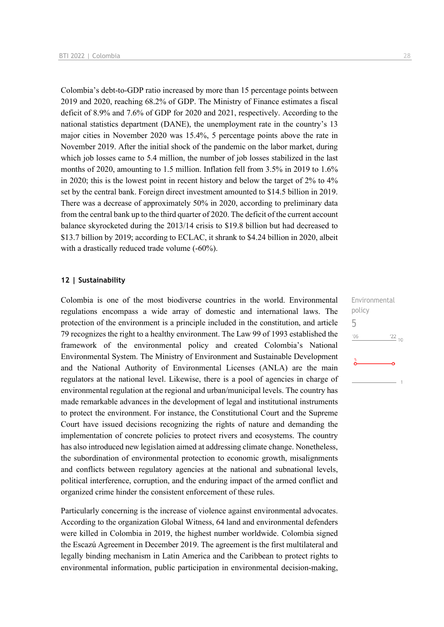Colombia's debt-to-GDP ratio increased by more than 15 percentage points between 2019 and 2020, reaching 68.2% of GDP. The Ministry of Finance estimates a fiscal deficit of 8.9% and 7.6% of GDP for 2020 and 2021, respectively. According to the national statistics department (DANE), the unemployment rate in the country's 13 major cities in November 2020 was 15.4%, 5 percentage points above the rate in November 2019. After the initial shock of the pandemic on the labor market, during which job losses came to 5.4 million, the number of job losses stabilized in the last months of 2020, amounting to 1.5 million. Inflation fell from 3.5% in 2019 to 1.6% in 2020; this is the lowest point in recent history and below the target of 2% to 4% set by the central bank. Foreign direct investment amounted to \$14.5 billion in 2019. There was a decrease of approximately 50% in 2020, according to preliminary data from the central bank up to the third quarter of 2020. The deficit of the current account balance skyrocketed during the 2013/14 crisis to \$19.8 billion but had decreased to \$13.7 billion by 2019; according to ECLAC, it shrank to \$4.24 billion in 2020, albeit with a drastically reduced trade volume (-60%).

#### **12 | Sustainability**

Colombia is one of the most biodiverse countries in the world. Environmental regulations encompass a wide array of domestic and international laws. The protection of the environment is a principle included in the constitution, and article 79 recognizes the right to a healthy environment. The Law 99 of 1993 established the framework of the environmental policy and created Colombia's National Environmental System. The Ministry of Environment and Sustainable Development and the National Authority of Environmental Licenses (ANLA) are the main regulators at the national level. Likewise, there is a pool of agencies in charge of environmental regulation at the regional and urban/municipal levels. The country has made remarkable advances in the development of legal and institutional instruments to protect the environment. For instance, the Constitutional Court and the Supreme Court have issued decisions recognizing the rights of nature and demanding the implementation of concrete policies to protect rivers and ecosystems. The country has also introduced new legislation aimed at addressing climate change. Nonetheless, the subordination of environmental protection to economic growth, misalignments and conflicts between regulatory agencies at the national and subnational levels, political interference, corruption, and the enduring impact of the armed conflict and organized crime hinder the consistent enforcement of these rules.

Particularly concerning is the increase of violence against environmental advocates. According to the organization Global Witness, 64 land and environmental defenders were killed in Colombia in 2019, the highest number worldwide. Colombia signed the Escazú Agreement in December 2019. The agreement is the first multilateral and legally binding mechanism in Latin America and the Caribbean to protect rights to environmental information, public participation in environmental decision-making, Environmental policy 5 $-06$  $122_{10}$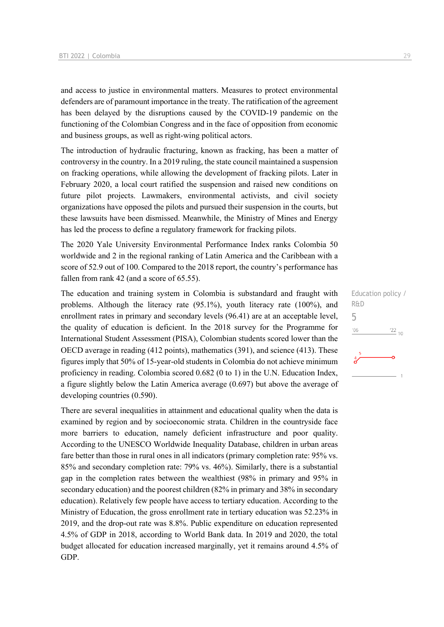and access to justice in environmental matters. Measures to protect environmental defenders are of paramount importance in the treaty. The ratification of the agreement has been delayed by the disruptions caused by the COVID-19 pandemic on the functioning of the Colombian Congress and in the face of opposition from economic and business groups, as well as right-wing political actors.

The introduction of hydraulic fracturing, known as fracking, has been a matter of controversy in the country. In a 2019 ruling, the state council maintained a suspension on fracking operations, while allowing the development of fracking pilots. Later in February 2020, a local court ratified the suspension and raised new conditions on future pilot projects. Lawmakers, environmental activists, and civil society organizations have opposed the pilots and pursued their suspension in the courts, but these lawsuits have been dismissed. Meanwhile, the Ministry of Mines and Energy has led the process to define a regulatory framework for fracking pilots.

The 2020 Yale University Environmental Performance Index ranks Colombia 50 worldwide and 2 in the regional ranking of Latin America and the Caribbean with a score of 52.9 out of 100. Compared to the 2018 report, the country's performance has fallen from rank 42 (and a score of 65.55).

The education and training system in Colombia is substandard and fraught with problems. Although the literacy rate (95.1%), youth literacy rate (100%), and enrollment rates in primary and secondary levels (96.41) are at an acceptable level, the quality of education is deficient. In the 2018 survey for the Programme for International Student Assessment (PISA), Colombian students scored lower than the OECD average in reading (412 points), mathematics (391), and science (413). These figures imply that 50% of 15-year-old students in Colombia do not achieve minimum proficiency in reading. Colombia scored 0.682 (0 to 1) in the U.N. Education Index, a figure slightly below the Latin America average (0.697) but above the average of developing countries (0.590).

There are several inequalities in attainment and educational quality when the data is examined by region and by socioeconomic strata. Children in the countryside face more barriers to education, namely deficient infrastructure and poor quality. According to the UNESCO Worldwide Inequality Database, children in urban areas fare better than those in rural ones in all indicators (primary completion rate: 95% vs. 85% and secondary completion rate: 79% vs. 46%). Similarly, there is a substantial gap in the completion rates between the wealthiest (98% in primary and 95% in secondary education) and the poorest children (82% in primary and 38% in secondary education). Relatively few people have access to tertiary education. According to the Ministry of Education, the gross enrollment rate in tertiary education was 52.23% in 2019, and the drop-out rate was 8.8%. Public expenditure on education represented 4.5% of GDP in 2018, according to World Bank data. In 2019 and 2020, the total budget allocated for education increased marginally, yet it remains around 4.5% of GDP.

Education policy / R&D 5 $^{\prime}06$  $\frac{22}{10}$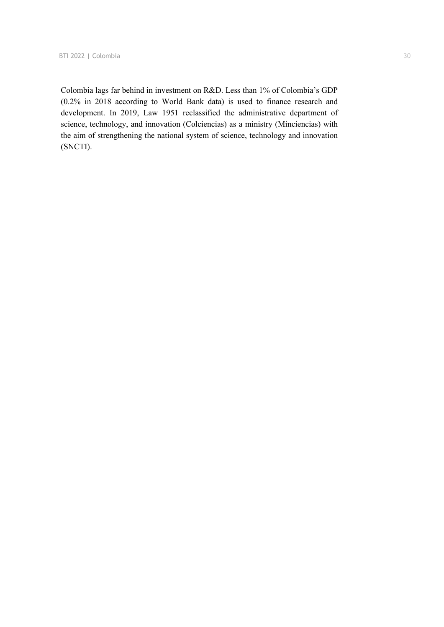Colombia lags far behind in investment on R&D. Less than 1% of Colombia's GDP (0.2% in 2018 according to World Bank data) is used to finance research and development. In 2019, Law 1951 reclassified the administrative department of science, technology, and innovation (Colciencias) as a ministry (Minciencias) with the aim of strengthening the national system of science, technology and innovation (SNCTI).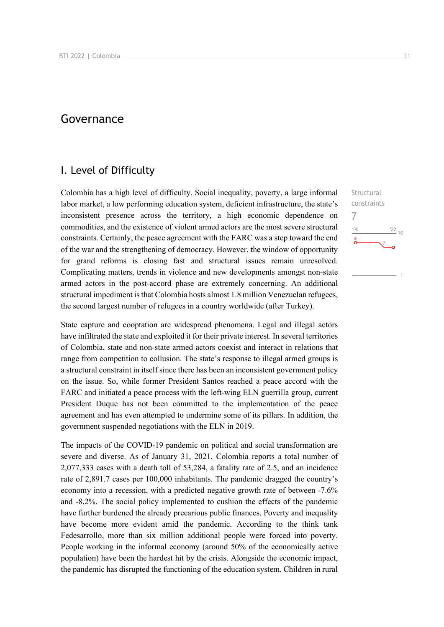## Governance

## I. Level of Difficulty

Colombia has a high level of difficulty. Social inequality, poverty, a large informal labor market, a low performing education system, deficient infrastructure, the state's inconsistent presence across the territory, a high economic dependence on commodities, and the existence of violent armed actors are the most severe structural constraints. Certainly, the peace agreement with the FARC was a step toward the end of the war and the strengthening of democracy. However, the window of opportunity for grand reforms is closing fast and structural issues remain unresolved. Complicating matters, trends in violence and new developments amongst non-state armed actors in the post-accord phase are extremely concerning. An additional structural impediment is that Colombia hosts almost 1.8 million Venezuelan refugees, the second largest number of refugees in a country worldwide (after Turkey).

State capture and cooptation are widespread phenomena. Legal and illegal actors have infiltrated the state and exploited it for their private interest. In several territories of Colombia, state and non-state armed actors coexist and interact in relations that range from competition to collusion. The state's response to illegal armed groups is a structural constraint in itself since there has been an inconsistent government policy on the issue. So, while former President Santos reached a peace accord with the FARC and initiated a peace process with the left-wing ELN guerrilla group, current President Duque has not been committed to the implementation of the peace agreement and has even attempted to undermine some of its pillars. In addition, the government suspended negotiations with the ELN in 2019.

The impacts of the COVID-19 pandemic on political and social transformation are severe and diverse. As of January 31, 2021, Colombia reports a total number of 2,077,333 cases with a death toll of 53,284, a fatality rate of 2.5, and an incidence rate of 2,891.7 cases per 100,000 inhabitants. The pandemic dragged the country's economy into a recession, with a predicted negative growth rate of between -7.6% and -8.2%. The social policy implemented to cushion the effects of the pandemic have further burdened the already precarious public finances. Poverty and inequality have become more evident amid the pandemic. According to the think tank Fedesarrollo, more than six million additional people were forced into poverty. People working in the informal economy (around 50% of the economically active population) have been the hardest hit by the crisis. Alongside the economic impact, the pandemic has disrupted the functioning of the education system. Children in rural

**Structural** constraints

 $\frac{22}{10}$ 

7 $n<sub>6</sub>$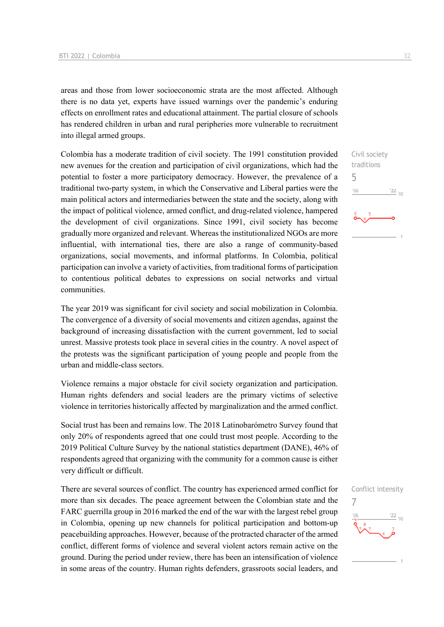areas and those from lower socioeconomic strata are the most affected. Although there is no data yet, experts have issued warnings over the pandemic's enduring effects on enrollment rates and educational attainment. The partial closure of schools has rendered children in urban and rural peripheries more vulnerable to recruitment into illegal armed groups.

Colombia has a moderate tradition of civil society. The 1991 constitution provided new avenues for the creation and participation of civil organizations, which had the potential to foster a more participatory democracy. However, the prevalence of a traditional two-party system, in which the Conservative and Liberal parties were the main political actors and intermediaries between the state and the society, along with the impact of political violence, armed conflict, and drug-related violence, hampered the development of civil organizations. Since 1991, civil society has become gradually more organized and relevant. Whereas the institutionalized NGOs are more influential, with international ties, there are also a range of community-based organizations, social movements, and informal platforms. In Colombia, political participation can involve a variety of activities, from traditional forms of participation to contentious political debates to expressions on social networks and virtual communities.

The year 2019 was significant for civil society and social mobilization in Colombia. The convergence of a diversity of social movements and citizen agendas, against the background of increasing dissatisfaction with the current government, led to social unrest. Massive protests took place in several cities in the country. A novel aspect of the protests was the significant participation of young people and people from the urban and middle-class sectors.

Violence remains a major obstacle for civil society organization and participation. Human rights defenders and social leaders are the primary victims of selective violence in territories historically affected by marginalization and the armed conflict.

Social trust has been and remains low. The 2018 Latinobarómetro Survey found that only 20% of respondents agreed that one could trust most people. According to the 2019 Political Culture Survey by the national statistics department (DANE), 46% of respondents agreed that organizing with the community for a common cause is either very difficult or difficult.

There are several sources of conflict. The country has experienced armed conflict for more than six decades. The peace agreement between the Colombian state and the FARC guerrilla group in 2016 marked the end of the war with the largest rebel group in Colombia, opening up new channels for political participation and bottom-up peacebuilding approaches. However, because of the protracted character of the armed conflict, different forms of violence and several violent actors remain active on the ground. During the period under review, there has been an intensification of violence in some areas of the country. Human rights defenders, grassroots social leaders, and Civil society traditions 5  $\frac{22}{10}$ '06

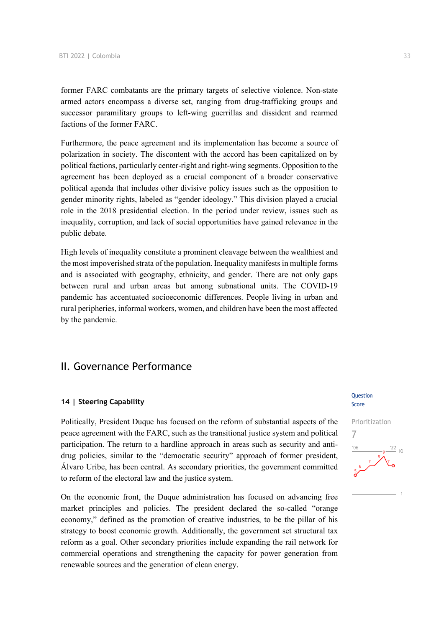former FARC combatants are the primary targets of selective violence. Non-state armed actors encompass a diverse set, ranging from drug-trafficking groups and successor paramilitary groups to left-wing guerrillas and dissident and rearmed factions of the former FARC.

Furthermore, the peace agreement and its implementation has become a source of polarization in society. The discontent with the accord has been capitalized on by political factions, particularly center-right and right-wing segments. Opposition to the agreement has been deployed as a crucial component of a broader conservative political agenda that includes other divisive policy issues such as the opposition to gender minority rights, labeled as "gender ideology." This division played a crucial role in the 2018 presidential election. In the period under review, issues such as inequality, corruption, and lack of social opportunities have gained relevance in the public debate.

High levels of inequality constitute a prominent cleavage between the wealthiest and the most impoverished strata of the population. Inequality manifests in multiple forms and is associated with geography, ethnicity, and gender. There are not only gaps between rural and urban areas but among subnational units. The COVID-19 pandemic has accentuated socioeconomic differences. People living in urban and rural peripheries, informal workers, women, and children have been the most affected by the pandemic.

## II. Governance Performance

#### **14 | Steering Capability**

Politically, President Duque has focused on the reform of substantial aspects of the peace agreement with the FARC, such as the transitional justice system and political participation. The return to a hardline approach in areas such as security and antidrug policies, similar to the "democratic security" approach of former president, Álvaro Uribe, has been central. As secondary priorities, the government committed to reform of the electoral law and the justice system.

On the economic front, the Duque administration has focused on advancing free market principles and policies. The president declared the so-called "orange economy," defined as the promotion of creative industries, to be the pillar of his strategy to boost economic growth. Additionally, the government set structural tax reform as a goal. Other secondary priorities include expanding the rail network for commercial operations and strengthening the capacity for power generation from renewable sources and the generation of clean energy.

#### Question Score

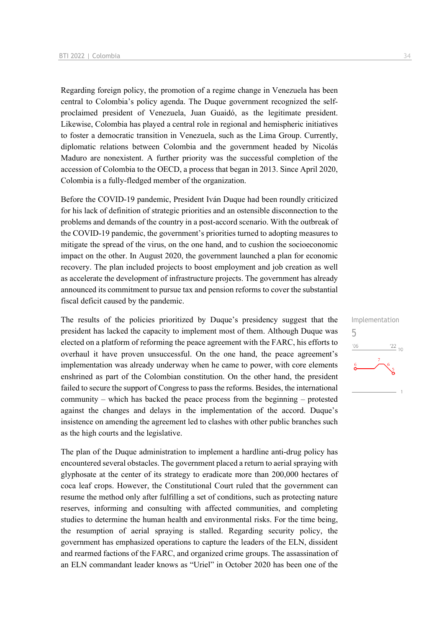Regarding foreign policy, the promotion of a regime change in Venezuela has been central to Colombia's policy agenda. The Duque government recognized the selfproclaimed president of Venezuela, Juan Guaidó, as the legitimate president. Likewise, Colombia has played a central role in regional and hemispheric initiatives to foster a democratic transition in Venezuela, such as the Lima Group. Currently, diplomatic relations between Colombia and the government headed by Nicolás Maduro are nonexistent. A further priority was the successful completion of the accession of Colombia to the OECD, a process that began in 2013. Since April 2020, Colombia is a fully-fledged member of the organization.

Before the COVID-19 pandemic, President Iván Duque had been roundly criticized for his lack of definition of strategic priorities and an ostensible disconnection to the problems and demands of the country in a post-accord scenario. With the outbreak of the COVID-19 pandemic, the government's priorities turned to adopting measures to mitigate the spread of the virus, on the one hand, and to cushion the socioeconomic impact on the other. In August 2020, the government launched a plan for economic recovery. The plan included projects to boost employment and job creation as well as accelerate the development of infrastructure projects. The government has already announced its commitment to pursue tax and pension reforms to cover the substantial fiscal deficit caused by the pandemic.

The results of the policies prioritized by Duque's presidency suggest that the president has lacked the capacity to implement most of them. Although Duque was elected on a platform of reforming the peace agreement with the FARC, his efforts to overhaul it have proven unsuccessful. On the one hand, the peace agreement's implementation was already underway when he came to power, with core elements enshrined as part of the Colombian constitution. On the other hand, the president failed to secure the support of Congress to pass the reforms. Besides, the international community – which has backed the peace process from the beginning – protested against the changes and delays in the implementation of the accord. Duque's insistence on amending the agreement led to clashes with other public branches such as the high courts and the legislative.

The plan of the Duque administration to implement a hardline anti-drug policy has encountered several obstacles. The government placed a return to aerial spraying with glyphosate at the center of its strategy to eradicate more than 200,000 hectares of coca leaf crops. However, the Constitutional Court ruled that the government can resume the method only after fulfilling a set of conditions, such as protecting nature reserves, informing and consulting with affected communities, and completing studies to determine the human health and environmental risks. For the time being, the resumption of aerial spraying is stalled. Regarding security policy, the government has emphasized operations to capture the leaders of the ELN, dissident and rearmed factions of the FARC, and organized crime groups. The assassination of an ELN commandant leader knows as "Uriel" in October 2020 has been one of the

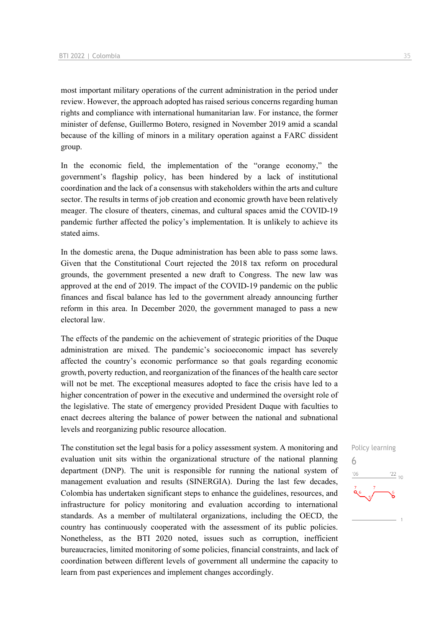most important military operations of the current administration in the period under review. However, the approach adopted has raised serious concerns regarding human rights and compliance with international humanitarian law. For instance, the former minister of defense, Guillermo Botero, resigned in November 2019 amid a scandal because of the killing of minors in a military operation against a FARC dissident group.

In the economic field, the implementation of the "orange economy," the government's flagship policy, has been hindered by a lack of institutional coordination and the lack of a consensus with stakeholders within the arts and culture sector. The results in terms of job creation and economic growth have been relatively meager. The closure of theaters, cinemas, and cultural spaces amid the COVID-19 pandemic further affected the policy's implementation. It is unlikely to achieve its stated aims.

In the domestic arena, the Duque administration has been able to pass some laws. Given that the Constitutional Court rejected the 2018 tax reform on procedural grounds, the government presented a new draft to Congress. The new law was approved at the end of 2019. The impact of the COVID-19 pandemic on the public finances and fiscal balance has led to the government already announcing further reform in this area. In December 2020, the government managed to pass a new electoral law.

The effects of the pandemic on the achievement of strategic priorities of the Duque administration are mixed. The pandemic's socioeconomic impact has severely affected the country's economic performance so that goals regarding economic growth, poverty reduction, and reorganization of the finances of the health care sector will not be met. The exceptional measures adopted to face the crisis have led to a higher concentration of power in the executive and undermined the oversight role of the legislative. The state of emergency provided President Duque with faculties to enact decrees altering the balance of power between the national and subnational levels and reorganizing public resource allocation.

The constitution set the legal basis for a policy assessment system. A monitoring and evaluation unit sits within the organizational structure of the national planning department (DNP). The unit is responsible for running the national system of management evaluation and results (SINERGIA). During the last few decades, Colombia has undertaken significant steps to enhance the guidelines, resources, and infrastructure for policy monitoring and evaluation according to international standards. As a member of multilateral organizations, including the OECD, the country has continuously cooperated with the assessment of its public policies. Nonetheless, as the BTI 2020 noted, issues such as corruption, inefficient bureaucracies, limited monitoring of some policies, financial constraints, and lack of coordination between different levels of government all undermine the capacity to learn from past experiences and implement changes accordingly.

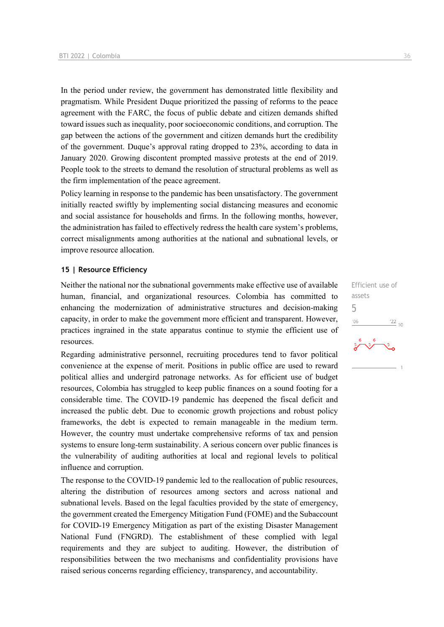In the period under review, the government has demonstrated little flexibility and pragmatism. While President Duque prioritized the passing of reforms to the peace agreement with the FARC, the focus of public debate and citizen demands shifted toward issues such as inequality, poor socioeconomic conditions, and corruption. The gap between the actions of the government and citizen demands hurt the credibility of the government. Duque's approval rating dropped to 23%, according to data in January 2020. Growing discontent prompted massive protests at the end of 2019. People took to the streets to demand the resolution of structural problems as well as the firm implementation of the peace agreement.

Policy learning in response to the pandemic has been unsatisfactory. The government initially reacted swiftly by implementing social distancing measures and economic and social assistance for households and firms. In the following months, however, the administration has failed to effectively redress the health care system's problems, correct misalignments among authorities at the national and subnational levels, or improve resource allocation.

#### **15 | Resource Efficiency**

Neither the national nor the subnational governments make effective use of available human, financial, and organizational resources. Colombia has committed to enhancing the modernization of administrative structures and decision-making capacity, in order to make the government more efficient and transparent. However, practices ingrained in the state apparatus continue to stymie the efficient use of resources.

Regarding administrative personnel, recruiting procedures tend to favor political convenience at the expense of merit. Positions in public office are used to reward political allies and undergird patronage networks. As for efficient use of budget resources, Colombia has struggled to keep public finances on a sound footing for a considerable time. The COVID-19 pandemic has deepened the fiscal deficit and increased the public debt. Due to economic growth projections and robust policy frameworks, the debt is expected to remain manageable in the medium term. However, the country must undertake comprehensive reforms of tax and pension systems to ensure long-term sustainability. A serious concern over public finances is the vulnerability of auditing authorities at local and regional levels to political influence and corruption.

The response to the COVID-19 pandemic led to the reallocation of public resources, altering the distribution of resources among sectors and across national and subnational levels. Based on the legal faculties provided by the state of emergency, the government created the Emergency Mitigation Fund (FOME) and the Subaccount for COVID-19 Emergency Mitigation as part of the existing Disaster Management National Fund (FNGRD). The establishment of these complied with legal requirements and they are subject to auditing. However, the distribution of responsibilities between the two mechanisms and confidentiality provisions have raised serious concerns regarding efficiency, transparency, and accountability.

Efficient use of assets 5 $-06$  $^{22}$  10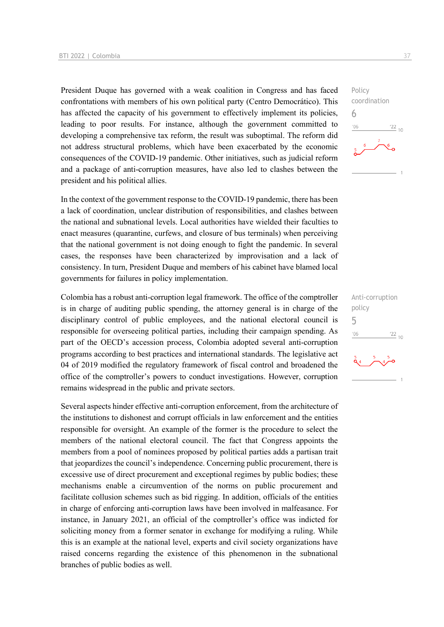President Duque has governed with a weak coalition in Congress and has faced confrontations with members of his own political party (Centro Democrático). This has affected the capacity of his government to effectively implement its policies, leading to poor results. For instance, although the government committed to developing a comprehensive tax reform, the result was suboptimal. The reform did not address structural problems, which have been exacerbated by the economic consequences of the COVID-19 pandemic. Other initiatives, such as judicial reform and a package of anti-corruption measures, have also led to clashes between the president and his political allies.

In the context of the government response to the COVID-19 pandemic, there has been a lack of coordination, unclear distribution of responsibilities, and clashes between the national and subnational levels. Local authorities have wielded their faculties to enact measures (quarantine, curfews, and closure of bus terminals) when perceiving that the national government is not doing enough to fight the pandemic. In several cases, the responses have been characterized by improvisation and a lack of consistency. In turn, President Duque and members of his cabinet have blamed local governments for failures in policy implementation.

Colombia has a robust anti-corruption legal framework. The office of the comptroller is in charge of auditing public spending, the attorney general is in charge of the disciplinary control of public employees, and the national electoral council is responsible for overseeing political parties, including their campaign spending. As part of the OECD's accession process, Colombia adopted several anti-corruption programs according to best practices and international standards. The legislative act 04 of 2019 modified the regulatory framework of fiscal control and broadened the office of the comptroller's powers to conduct investigations. However, corruption remains widespread in the public and private sectors.

Several aspects hinder effective anti-corruption enforcement, from the architecture of the institutions to dishonest and corrupt officials in law enforcement and the entities responsible for oversight. An example of the former is the procedure to select the members of the national electoral council. The fact that Congress appoints the members from a pool of nominees proposed by political parties adds a partisan trait that jeopardizes the council's independence. Concerning public procurement, there is excessive use of direct procurement and exceptional regimes by public bodies; these mechanisms enable a circumvention of the norms on public procurement and facilitate collusion schemes such as bid rigging. In addition, officials of the entities in charge of enforcing anti-corruption laws have been involved in malfeasance. For instance, in January 2021, an official of the comptroller's office was indicted for soliciting money from a former senator in exchange for modifying a ruling. While this is an example at the national level, experts and civil society organizations have raised concerns regarding the existence of this phenomenon in the subnational branches of public bodies as well.



| Anti-corruption |                     |
|-----------------|---------------------|
| policy          |                     |
| 5               |                     |
| '06             | $122$ <sub>1(</sub> |
|                 |                     |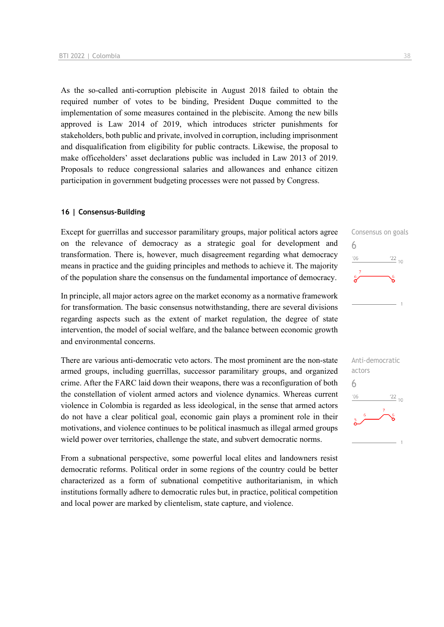As the so-called anti-corruption plebiscite in August 2018 failed to obtain the required number of votes to be binding, President Duque committed to the implementation of some measures contained in the plebiscite. Among the new bills approved is Law 2014 of 2019, which introduces stricter punishments for stakeholders, both public and private, involved in corruption, including imprisonment and disqualification from eligibility for public contracts. Likewise, the proposal to make officeholders' asset declarations public was included in Law 2013 of 2019. Proposals to reduce congressional salaries and allowances and enhance citizen participation in government budgeting processes were not passed by Congress.

#### **16 | Consensus-Building**

Except for guerrillas and successor paramilitary groups, major political actors agree on the relevance of democracy as a strategic goal for development and transformation. There is, however, much disagreement regarding what democracy means in practice and the guiding principles and methods to achieve it. The majority of the population share the consensus on the fundamental importance of democracy.

In principle, all major actors agree on the market economy as a normative framework for transformation. The basic consensus notwithstanding, there are several divisions regarding aspects such as the extent of market regulation, the degree of state intervention, the model of social welfare, and the balance between economic growth and environmental concerns.

There are various anti-democratic veto actors. The most prominent are the non-state armed groups, including guerrillas, successor paramilitary groups, and organized crime. After the FARC laid down their weapons, there was a reconfiguration of both the constellation of violent armed actors and violence dynamics. Whereas current violence in Colombia is regarded as less ideological, in the sense that armed actors do not have a clear political goal, economic gain plays a prominent role in their motivations, and violence continues to be political inasmuch as illegal armed groups wield power over territories, challenge the state, and subvert democratic norms.

From a subnational perspective, some powerful local elites and landowners resist democratic reforms. Political order in some regions of the country could be better characterized as a form of subnational competitive authoritarianism, in which institutions formally adhere to democratic rules but, in practice, political competition and local power are marked by clientelism, state capture, and violence.



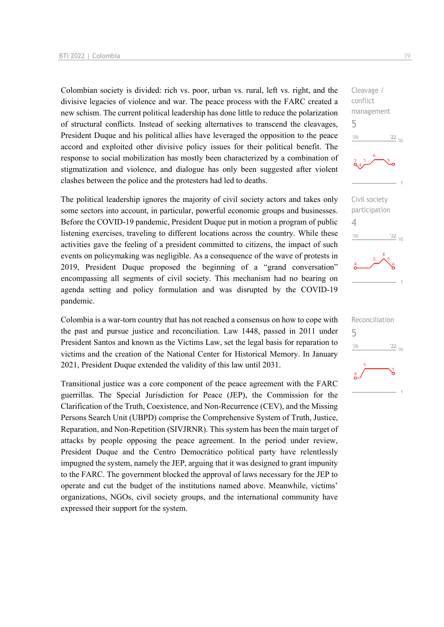Colombian society is divided: rich vs. poor, urban vs. rural, left vs. right, and the divisive legacies of violence and war. The peace process with the FARC created a new schism. The current political leadership has done little to reduce the polarization of structural conflicts. Instead of seeking alternatives to transcend the cleavages, President Duque and his political allies have leveraged the opposition to the peace accord and exploited other divisive policy issues for their political benefit. The response to social mobilization has mostly been characterized by a combination of stigmatization and violence, and dialogue has only been suggested after violent clashes between the police and the protesters had led to deaths.

The political leadership ignores the majority of civil society actors and takes only some sectors into account, in particular, powerful economic groups and businesses. Before the COVID-19 pandemic, President Duque put in motion a program of public listening exercises, traveling to different locations across the country. While these activities gave the feeling of a president committed to citizens, the impact of such events on policymaking was negligible. As a consequence of the wave of protests in 2019, President Duque proposed the beginning of a "grand conversation" encompassing all segments of civil society. This mechanism had no bearing on agenda setting and policy formulation and was disrupted by the COVID-19 pandemic.

Colombia is a war-torn country that has not reached a consensus on how to cope with the past and pursue justice and reconciliation. Law 1448, passed in 2011 under President Santos and known as the Victims Law, set the legal basis for reparation to victims and the creation of the National Center for Historical Memory. In January 2021, President Duque extended the validity of this law until 2031.

Transitional justice was a core component of the peace agreement with the FARC guerrillas. The Special Jurisdiction for Peace (JEP), the Commission for the Clarification of the Truth, Coexistence, and Non-Recurrence (CEV), and the Missing Persons Search Unit (UBPD) comprise the Comprehensive System of Truth, Justice, Reparation, and Non-Repetition (SIVJRNR). This system has been the main target of attacks by people opposing the peace agreement. In the period under review, President Duque and the Centro Democrático political party have relentlessly impugned the system, namely the JEP, arguing that it was designed to grant impunity to the FARC. The government blocked the approval of laws necessary for the JEP to operate and cut the budget of the institutions named above. Meanwhile, victims' organizations, NGOs, civil society groups, and the international community have expressed their support for the system.

Cleavage / conflict management 5  $n<sub>6</sub>$  $\frac{22}{10}$ Civil society participation 4  $\frac{22}{10}$  $^{\prime}06$ 

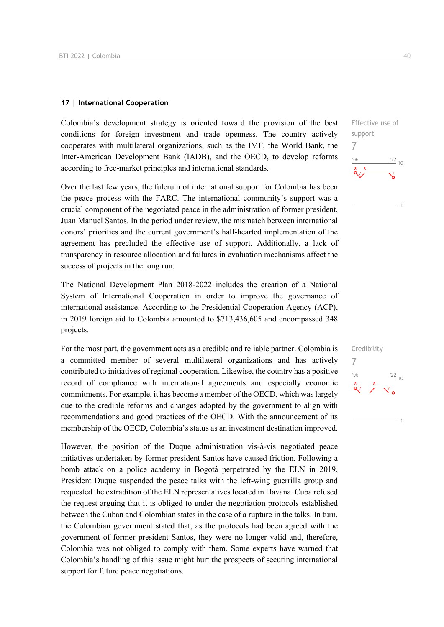#### **17 | International Cooperation**

Colombia's development strategy is oriented toward the provision of the best conditions for foreign investment and trade openness. The country actively cooperates with multilateral organizations, such as the IMF, the World Bank, the Inter-American Development Bank (IADB), and the OECD, to develop reforms according to free-market principles and international standards.

Over the last few years, the fulcrum of international support for Colombia has been the peace process with the FARC. The international community's support was a crucial component of the negotiated peace in the administration of former president, Juan Manuel Santos. In the period under review, the mismatch between international donors' priorities and the current government's half-hearted implementation of the agreement has precluded the effective use of support. Additionally, a lack of transparency in resource allocation and failures in evaluation mechanisms affect the success of projects in the long run.

The National Development Plan 2018-2022 includes the creation of a National System of International Cooperation in order to improve the governance of international assistance. According to the Presidential Cooperation Agency (ACP), in 2019 foreign aid to Colombia amounted to \$713,436,605 and encompassed 348 projects.

For the most part, the government acts as a credible and reliable partner. Colombia is a committed member of several multilateral organizations and has actively contributed to initiatives of regional cooperation. Likewise, the country has a positive record of compliance with international agreements and especially economic commitments. For example, it has become a member of the OECD, which was largely due to the credible reforms and changes adopted by the government to align with recommendations and good practices of the OECD. With the announcement of its membership of the OECD, Colombia's status as an investment destination improved.

However, the position of the Duque administration vis-à-vis negotiated peace initiatives undertaken by former president Santos have caused friction. Following a bomb attack on a police academy in Bogotá perpetrated by the ELN in 2019, President Duque suspended the peace talks with the left-wing guerrilla group and requested the extradition of the ELN representatives located in Havana. Cuba refused the request arguing that it is obliged to under the negotiation protocols established between the Cuban and Colombian states in the case of a rupture in the talks. In turn, the Colombian government stated that, as the protocols had been agreed with the government of former president Santos, they were no longer valid and, therefore, Colombia was not obliged to comply with them. Some experts have warned that Colombia's handling of this issue might hurt the prospects of securing international support for future peace negotiations.

Effective use of support 7  $\frac{22}{10}$  $-06$ 

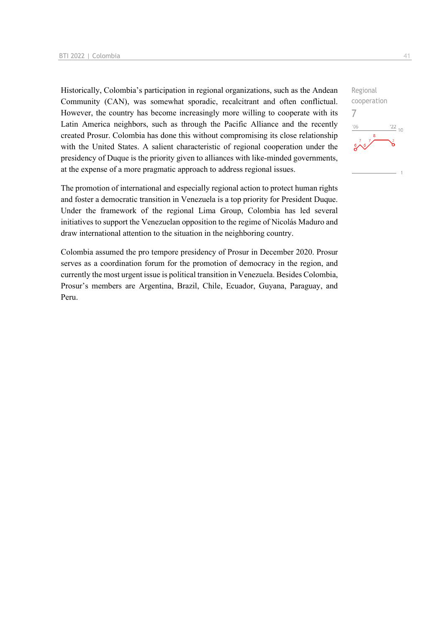Historically, Colombia's participation in regional organizations, such as the Andean Community (CAN), was somewhat sporadic, recalcitrant and often conflictual. However, the country has become increasingly more willing to cooperate with its Latin America neighbors, such as through the Pacific Alliance and the recently created Prosur. Colombia has done this without compromising its close relationship with the United States. A salient characteristic of regional cooperation under the presidency of Duque is the priority given to alliances with like-minded governments, at the expense of a more pragmatic approach to address regional issues.

The promotion of international and especially regional action to protect human rights and foster a democratic transition in Venezuela is a top priority for President Duque. Under the framework of the regional Lima Group, Colombia has led several initiatives to support the Venezuelan opposition to the regime of Nicolás Maduro and draw international attention to the situation in the neighboring country.

Colombia assumed the pro tempore presidency of Prosur in December 2020. Prosur serves as a coordination forum for the promotion of democracy in the region, and currently the most urgent issue is political transition in Venezuela. Besides Colombia, Prosur's members are Argentina, Brazil, Chile, Ecuador, Guyana, Paraguay, and Peru.